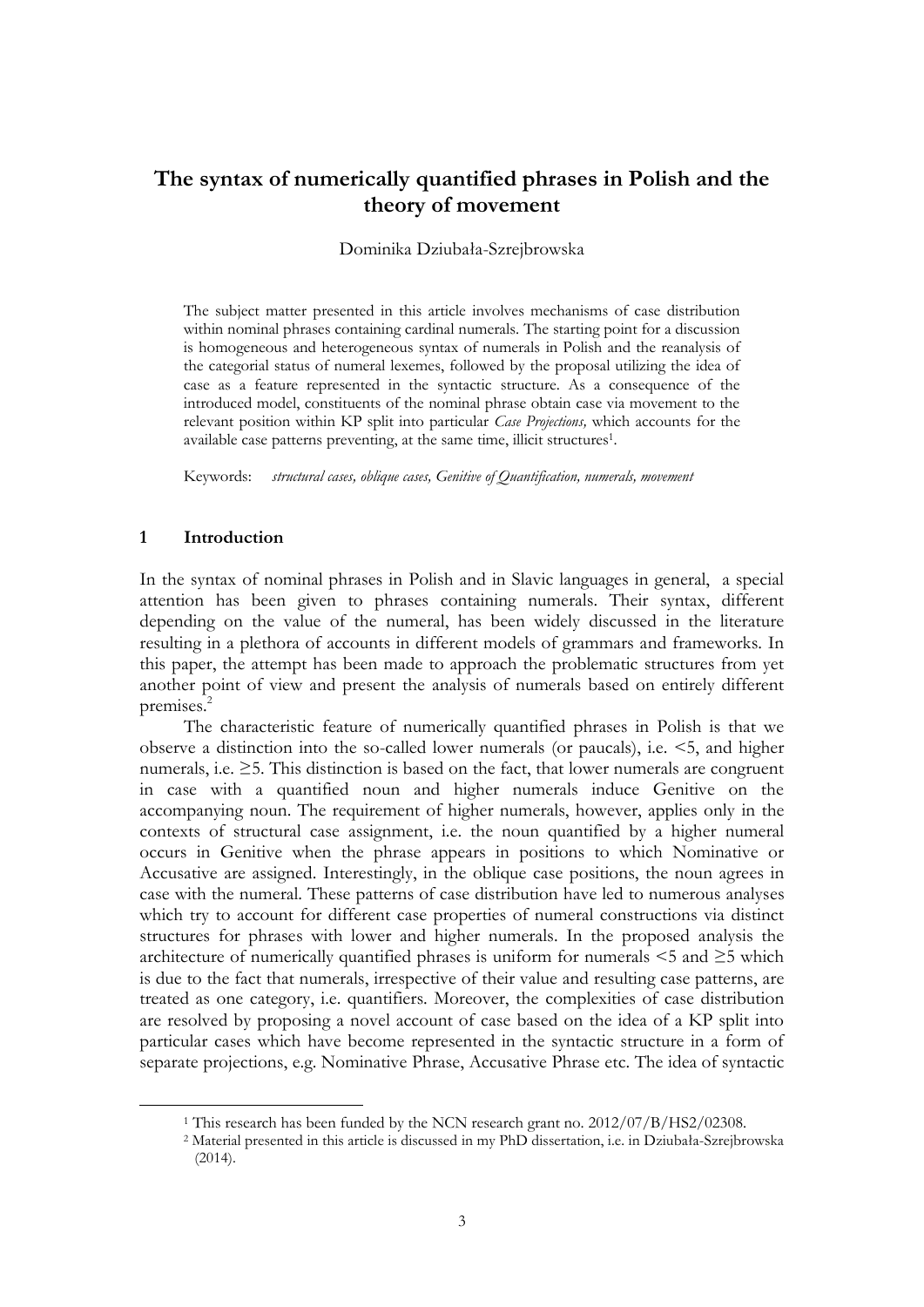# **The syntax of numerically quantified phrases in Polish and the theory of movement**

#### Dominika Dziubała-Szrejbrowska

The subject matter presented in this article involves mechanisms of case distribution within nominal phrases containing cardinal numerals. The starting point for a discussion is homogeneous and heterogeneous syntax of numerals in Polish and the reanalysis of the categorial status of numeral lexemes, followed by the proposal utilizing the idea of case as a feature represented in the syntactic structure. As a consequence of the introduced model, constituents of the nominal phrase obtain case via movement to the relevant position within KP split into particular *Case Projections,* which accounts for the available case patterns preventing, at the same time, illicit structures<sup>1</sup>.

Keywords: *structural cases, oblique cases, Genitive of Quantification, numerals, movement*

# **1 Introduction**

1

In the syntax of nominal phrases in Polish and in Slavic languages in general, a special attention has been given to phrases containing numerals. Their syntax, different depending on the value of the numeral, has been widely discussed in the literature resulting in a plethora of accounts in different models of grammars and frameworks. In this paper, the attempt has been made to approach the problematic structures from yet another point of view and present the analysis of numerals based on entirely different premises. 2

The characteristic feature of numerically quantified phrases in Polish is that we observe a distinction into the so-called lower numerals (or paucals), i.e. <5, and higher numerals, i.e.  $\geq$ 5. This distinction is based on the fact, that lower numerals are congruent in case with a quantified noun and higher numerals induce Genitive on the accompanying noun. The requirement of higher numerals, however, applies only in the contexts of structural case assignment, i.e. the noun quantified by a higher numeral occurs in Genitive when the phrase appears in positions to which Nominative or Accusative are assigned. Interestingly, in the oblique case positions, the noun agrees in case with the numeral. These patterns of case distribution have led to numerous analyses which try to account for different case properties of numeral constructions via distinct structures for phrases with lower and higher numerals. In the proposed analysis the architecture of numerically quantified phrases is uniform for numerals  $\leq 5$  and  $\geq 5$  which is due to the fact that numerals, irrespective of their value and resulting case patterns, are treated as one category, i.e. quantifiers. Moreover, the complexities of case distribution are resolved by proposing a novel account of case based on the idea of a KP split into particular cases which have become represented in the syntactic structure in a form of separate projections, e.g. Nominative Phrase, Accusative Phrase etc. The idea of syntactic

<sup>&</sup>lt;sup>1</sup> This research has been funded by the NCN research grant no. 2012/07/B/HS2/02308.

<sup>2</sup> Material presented in this article is discussed in my PhD dissertation, i.e. in Dziubała-Szrejbrowska (2014).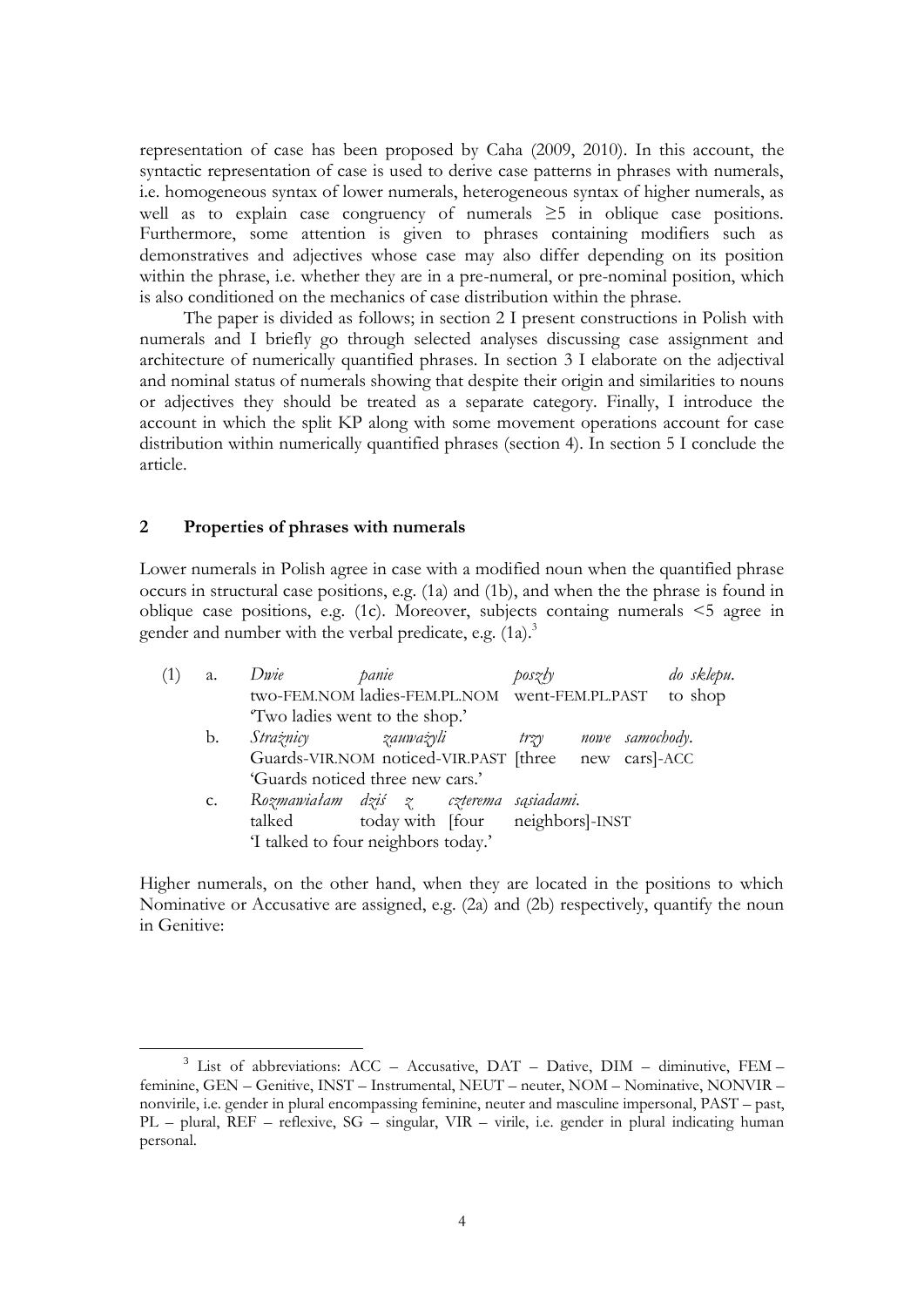representation of case has been proposed by Caha (2009, 2010). In this account, the syntactic representation of case is used to derive case patterns in phrases with numerals, i.e. homogeneous syntax of lower numerals, heterogeneous syntax of higher numerals, as well as to explain case congruency of numerals  $\geq$ 5 in oblique case positions. Furthermore, some attention is given to phrases containing modifiers such as demonstratives and adjectives whose case may also differ depending on its position within the phrase, i.e. whether they are in a pre-numeral, or pre-nominal position, which is also conditioned on the mechanics of case distribution within the phrase.

The paper is divided as follows; in section 2 I present constructions in Polish with numerals and I briefly go through selected analyses discussing case assignment and architecture of numerically quantified phrases. In section 3 I elaborate on the adjectival and nominal status of numerals showing that despite their origin and similarities to nouns or adjectives they should be treated as a separate category. Finally, I introduce the account in which the split KP along with some movement operations account for case distribution within numerically quantified phrases (section 4). In section 5 I conclude the article.

#### **2 Properties of phrases with numerals**

<u>.</u>

Lower numerals in Polish agree in case with a modified noun when the quantified phrase occurs in structural case positions, e.g. (1a) and (1b), and when the the phrase is found in oblique case positions, e.g. (1c). Moreover, subjects containg numerals <5 agree in gender and number with the verbal predicate, e.g.  $(1a)$ .<sup>3</sup>

|  | a. | Dwie                                                 | panie                            | $\text{posz/v}$ |                 | do sklepu. |
|--|----|------------------------------------------------------|----------------------------------|-----------------|-----------------|------------|
|  |    | two-FEM.NOM ladies-FEM.PL.NOM went-FEM.PL.PAST       |                                  |                 |                 | to shop    |
|  |    | Two ladies went to the shop.'                        |                                  |                 |                 |            |
|  | b. | Strażnicy zauważyli                                  |                                  | trzy            | nowe samochody. |            |
|  |    | Guards-VIR.NOM noticed-VIR.PAST [three new cars]-ACC |                                  |                 |                 |            |
|  |    | 'Guards noticed three new cars.'                     |                                  |                 |                 |            |
|  | c. | Rozmawiałam dziś z czterema sąsiadami.               |                                  |                 |                 |            |
|  |    | talked                                               | today with [four neighbors]-INST |                 |                 |            |
|  |    | 'I talked to four neighbors today.'                  |                                  |                 |                 |            |

Higher numerals, on the other hand, when they are located in the positions to which Nominative or Accusative are assigned, e.g. (2a) and (2b) respectively, quantify the noun in Genitive:

<sup>&</sup>lt;sup>3</sup> List of abbreviations: ACC - Accusative, DAT - Dative, DIM - diminutive, FEM feminine, GEN – Genitive, INST – Instrumental, NEUT – neuter, NOM – Nominative, NONVIR – nonvirile, i.e. gender in plural encompassing feminine, neuter and masculine impersonal, PAST – past, PL – plural, REF – reflexive, SG – singular, VIR – virile, i.e. gender in plural indicating human personal.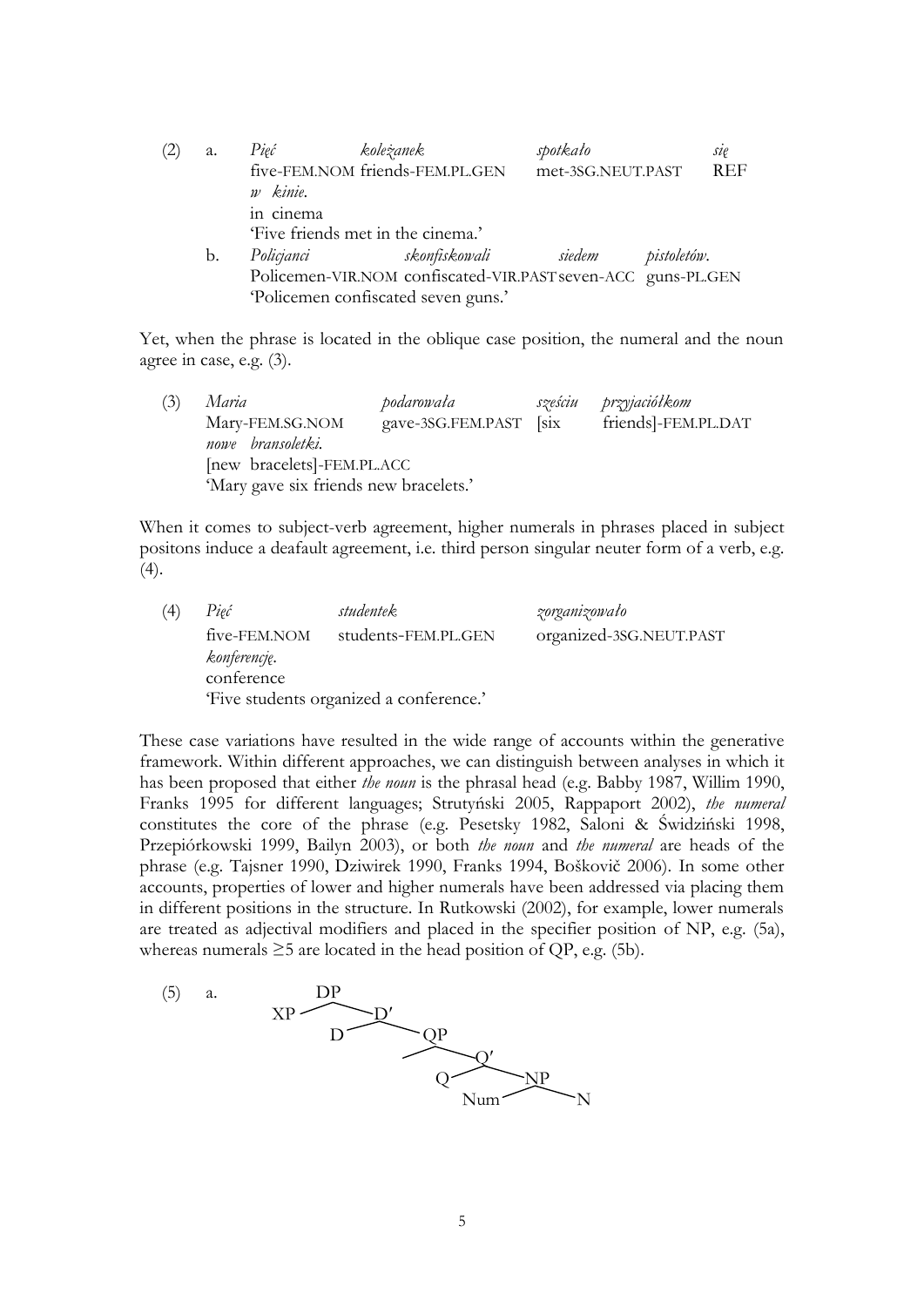| (2) | a. | Pięć       | koleżanek                                                    | spotkało          |             | sie        |
|-----|----|------------|--------------------------------------------------------------|-------------------|-------------|------------|
|     |    | w kinie.   | five-FEM.NOM friends-FEM.PL.GEN                              | met-3SG.NEUT.PAST |             | <b>REF</b> |
|     |    | in cinema  | 'Five friends met in the cinema.'                            |                   |             |            |
|     | b. | Policjanci | skonfiskowali siedem                                         |                   | pistoletów. |            |
|     |    |            | Policemen-VIR.NOM confiscated-VIR.PAST seven-ACC guns-PL.GEN |                   |             |            |
|     |    |            | 'Policemen confiscated seven guns.'                          |                   |             |            |

Yet, when the phrase is located in the oblique case position, the numeral and the noun agree in case, e.g. (3).

(3) *Maria podarowała sześciu przyjaciółkom* Mary-FEM.SG.NOM gave-3SG.FEM.PAST [six friends]-FEM.PL.DAT *nowe bransoletki.* [new bracelets]-FEM.PL.ACC 'Mary gave six friends new bracelets.'

When it comes to subject-verb agreement, higher numerals in phrases placed in subject positons induce a deafault agreement, i.e. third person singular neuter form of a verb, e.g.  $(4).$ 

(4) *Pięć studentek zorganizowało*  five-FEM.NOM students-FEM.PL.GEN organized-3SG.NEUT.PAST *konferencję*. conference 'Five students organized a conference.'

These case variations have resulted in the wide range of accounts within the generative framework. Within different approaches, we can distinguish between analyses in which it has been proposed that either *the noun* is the phrasal head (e.g. Babby 1987, Willim 1990, Franks 1995 for different languages; Strutyński 2005, Rappaport 2002), *the numeral* constitutes the core of the phrase (e.g. Pesetsky 1982, Saloni & Świdziński 1998, Przepiórkowski 1999, Bailyn 2003), or both *the noun* and *the numeral* are heads of the phrase (e.g. Tajsner 1990, Dziwirek 1990, Franks 1994, Boškovič 2006). In some other accounts, properties of lower and higher numerals have been addressed via placing them in different positions in the structure. In Rutkowski (2002), for example, lower numerals are treated as adjectival modifiers and placed in the specifier position of NP, e.g. (5a), whereas numerals  $\geq 5$  are located in the head position of QP, e.g. (5b).

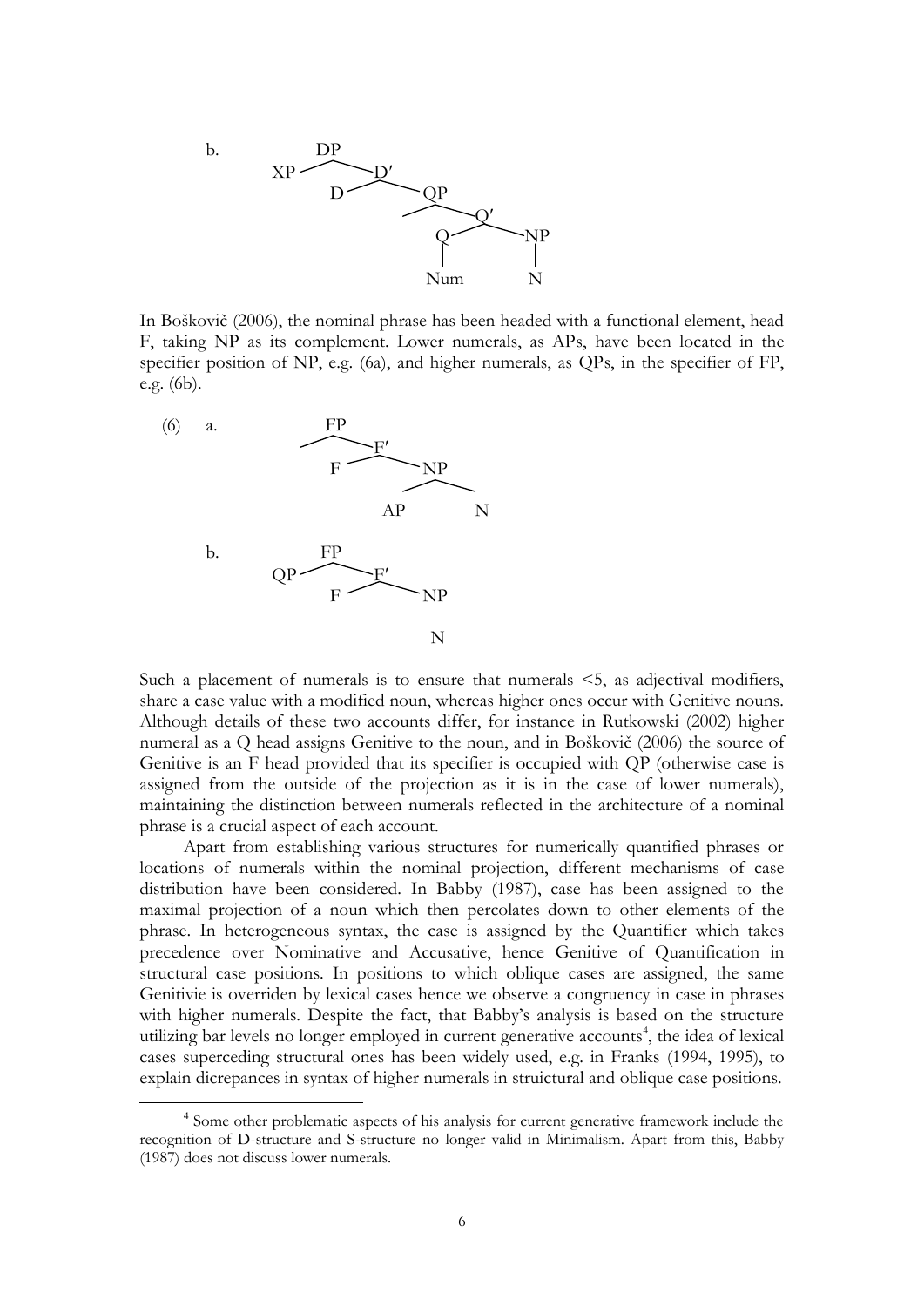

In Boškovič (2006), the nominal phrase has been headed with a functional element, head F, taking NP as its complement. Lower numerals, as APs, have been located in the specifier position of NP, e.g. (6a), and higher numerals, as QPs, in the specifier of FP, e.g. (6b).



<u>.</u>

Such a placement of numerals is to ensure that numerals  $\leq$ 5, as adjectival modifiers, share a case value with a modified noun, whereas higher ones occur with Genitive nouns. Although details of these two accounts differ, for instance in Rutkowski (2002) higher numeral as a Q head assigns Genitive to the noun, and in Boškovič (2006) the source of Genitive is an F head provided that its specifier is occupied with QP (otherwise case is assigned from the outside of the projection as it is in the case of lower numerals), maintaining the distinction between numerals reflected in the architecture of a nominal phrase is a crucial aspect of each account.

Apart from establishing various structures for numerically quantified phrases or locations of numerals within the nominal projection, different mechanisms of case distribution have been considered. In Babby (1987), case has been assigned to the maximal projection of a noun which then percolates down to other elements of the phrase. In heterogeneous syntax, the case is assigned by the Quantifier which takes precedence over Nominative and Accusative, hence Genitive of Quantification in structural case positions. In positions to which oblique cases are assigned, the same Genitivie is overriden by lexical cases hence we observe a congruency in case in phrases with higher numerals. Despite the fact, that Babby's analysis is based on the structure utilizing bar levels no longer employed in current generative accounts<sup>4</sup>, the idea of lexical cases superceding structural ones has been widely used, e.g. in Franks (1994, 1995), to explain dicrepances in syntax of higher numerals in struictural and oblique case positions.

<sup>&</sup>lt;sup>4</sup> Some other problematic aspects of his analysis for current generative framework include the recognition of D-structure and S-structure no longer valid in Minimalism. Apart from this, Babby (1987) does not discuss lower numerals.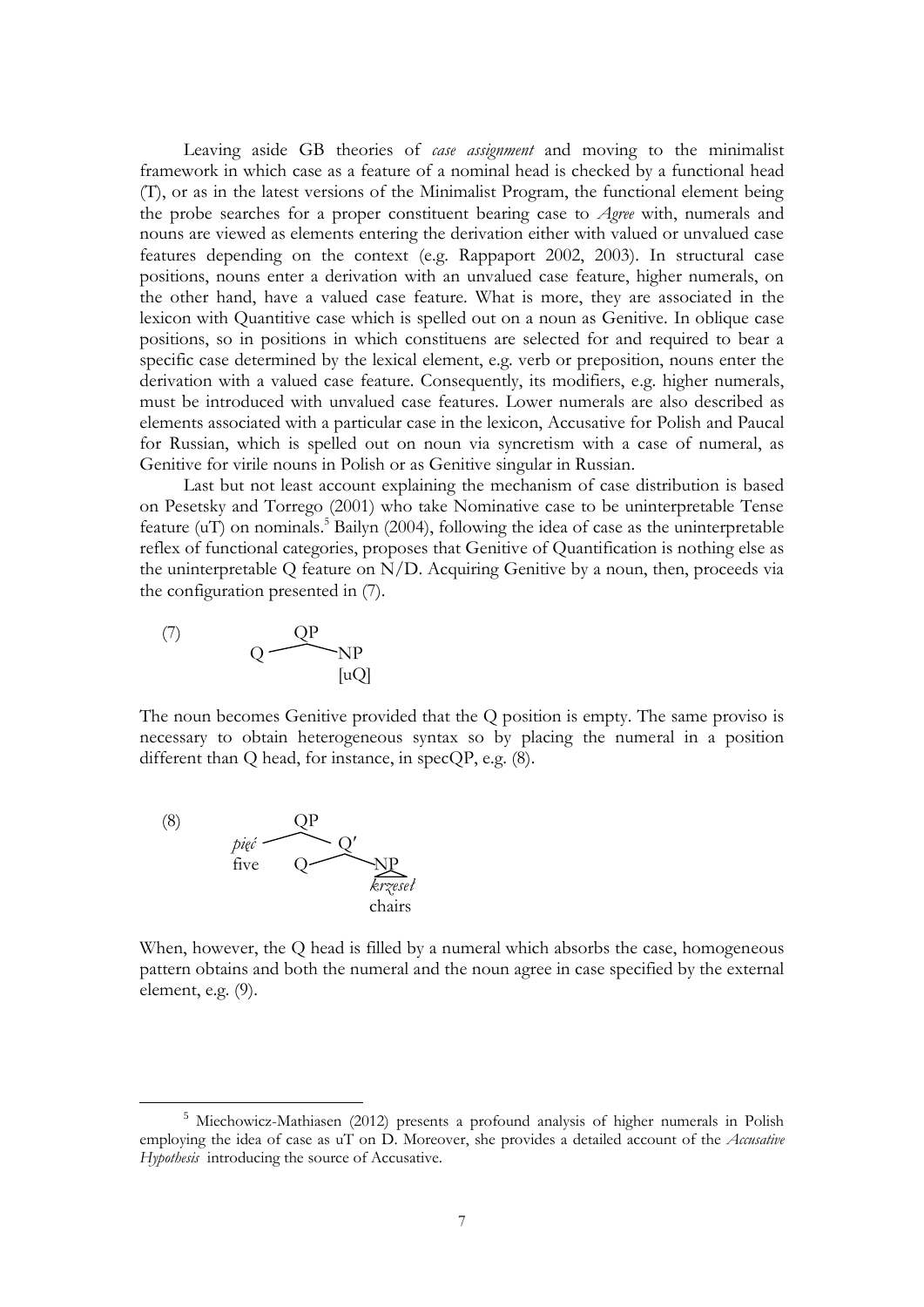Leaving aside GB theories of *case assignment* and moving to the minimalist framework in which case as a feature of a nominal head is checked by a functional head (T), or as in the latest versions of the Minimalist Program, the functional element being the probe searches for a proper constituent bearing case to *Agree* with, numerals and nouns are viewed as elements entering the derivation either with valued or unvalued case features depending on the context (e.g. Rappaport 2002, 2003). In structural case positions, nouns enter a derivation with an unvalued case feature, higher numerals, on the other hand, have a valued case feature. What is more, they are associated in the lexicon with Quantitive case which is spelled out on a noun as Genitive. In oblique case positions, so in positions in which constituens are selected for and required to bear a specific case determined by the lexical element, e.g. verb or preposition, nouns enter the derivation with a valued case feature. Consequently, its modifiers, e.g. higher numerals, must be introduced with unvalued case features. Lower numerals are also described as elements associated with a particular case in the lexicon, Accusative for Polish and Paucal for Russian, which is spelled out on noun via syncretism with a case of numeral, as Genitive for virile nouns in Polish or as Genitive singular in Russian.

Last but not least account explaining the mechanism of case distribution is based on Pesetsky and Torrego (2001) who take Nominative case to be uninterpretable Tense feature (uT) on nominals. <sup>5</sup> Bailyn (2004), following the idea of case as the uninterpretable reflex of functional categories, proposes that Genitive of Quantification is nothing else as the uninterpretable Q feature on N/D. Acquiring Genitive by a noun, then, proceeds via the configuration presented in (7).

$$
\begin{array}{cc}\n\text{(7)} & \text{QP} \\
\text{QP} & \text{NP} \\
\text{[uQ]} & & \n\end{array}
$$

The noun becomes Genitive provided that the Q position is empty. The same proviso is necessary to obtain heterogeneous syntax so by placing the numeral in a position different than Q head, for instance, in specQP, e.g.  $(8)$ .



<u>.</u>

When, however, the Q head is filled by a numeral which absorbs the case, homogeneous pattern obtains and both the numeral and the noun agree in case specified by the external element, e.g. (9).

<sup>5</sup> Miechowicz-Mathiasen (2012) presents a profound analysis of higher numerals in Polish employing the idea of case as uT on D. Moreover, she provides a detailed account of the *Accusative Hypothesis* introducing the source of Accusative.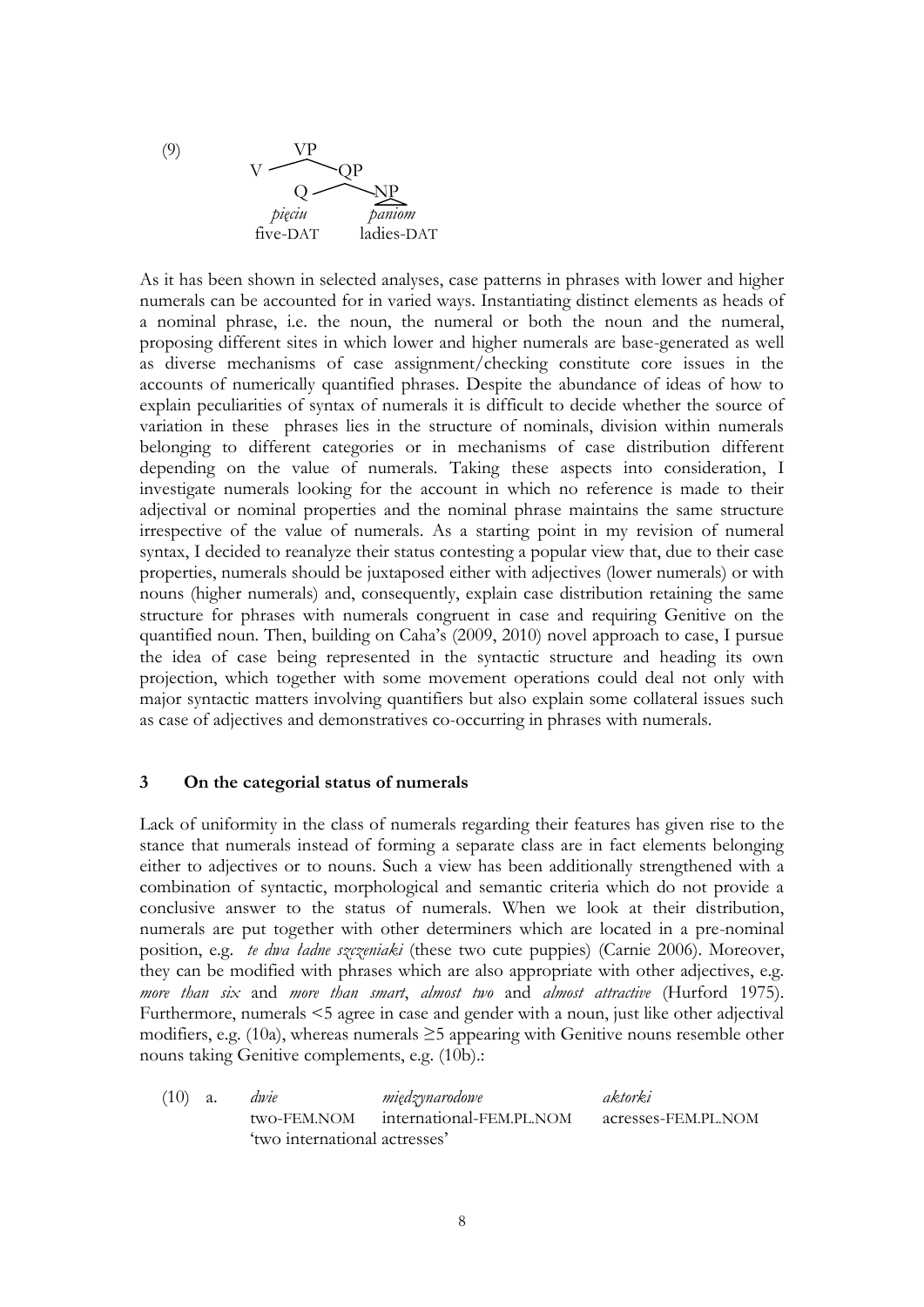(9) VP  $V \sim QP$  $Q$ *pięciu paniom* five-DAT ladies-DAT

As it has been shown in selected analyses, case patterns in phrases with lower and higher numerals can be accounted for in varied ways. Instantiating distinct elements as heads of a nominal phrase, i.e. the noun, the numeral or both the noun and the numeral, proposing different sites in which lower and higher numerals are base-generated as well as diverse mechanisms of case assignment/checking constitute core issues in the accounts of numerically quantified phrases. Despite the abundance of ideas of how to explain peculiarities of syntax of numerals it is difficult to decide whether the source of variation in these phrases lies in the structure of nominals, division within numerals belonging to different categories or in mechanisms of case distribution different depending on the value of numerals. Taking these aspects into consideration, I investigate numerals looking for the account in which no reference is made to their adjectival or nominal properties and the nominal phrase maintains the same structure irrespective of the value of numerals. As a starting point in my revision of numeral syntax, I decided to reanalyze their status contesting a popular view that, due to their case properties, numerals should be juxtaposed either with adjectives (lower numerals) or with nouns (higher numerals) and, consequently, explain case distribution retaining the same structure for phrases with numerals congruent in case and requiring Genitive on the quantified noun. Then, building on Caha's (2009, 2010) novel approach to case, I pursue the idea of case being represented in the syntactic structure and heading its own projection, which together with some movement operations could deal not only with major syntactic matters involving quantifiers but also explain some collateral issues such as case of adjectives and demonstratives co-occurring in phrases with numerals.

# **3 On the categorial status of numerals**

Lack of uniformity in the class of numerals regarding their features has given rise to the stance that numerals instead of forming a separate class are in fact elements belonging either to adjectives or to nouns. Such a view has been additionally strengthened with a combination of syntactic, morphological and semantic criteria which do not provide a conclusive answer to the status of numerals. When we look at their distribution, numerals are put together with other determiners which are located in a pre-nominal position, e.g. *te dwa ładne szczeniaki* (these two cute puppies) (Carnie 2006). Moreover, they can be modified with phrases which are also appropriate with other adjectives, e.g. *more than six* and *more than smart*, *almost two* and *almost attractive* (Hurford 1975). Furthermore, numerals <5 agree in case and gender with a noun, just like other adjectival modifiers, e.g. (10a), whereas numerals  $\geq$ 5 appearing with Genitive nouns resemble other nouns taking Genitive complements, e.g. (10b).:

(10) a. *dwie międzynarodowe aktorki* two-FEM.NOM international-FEM.PL.NOM acresses-FEM.PL.NOM 'two international actresses'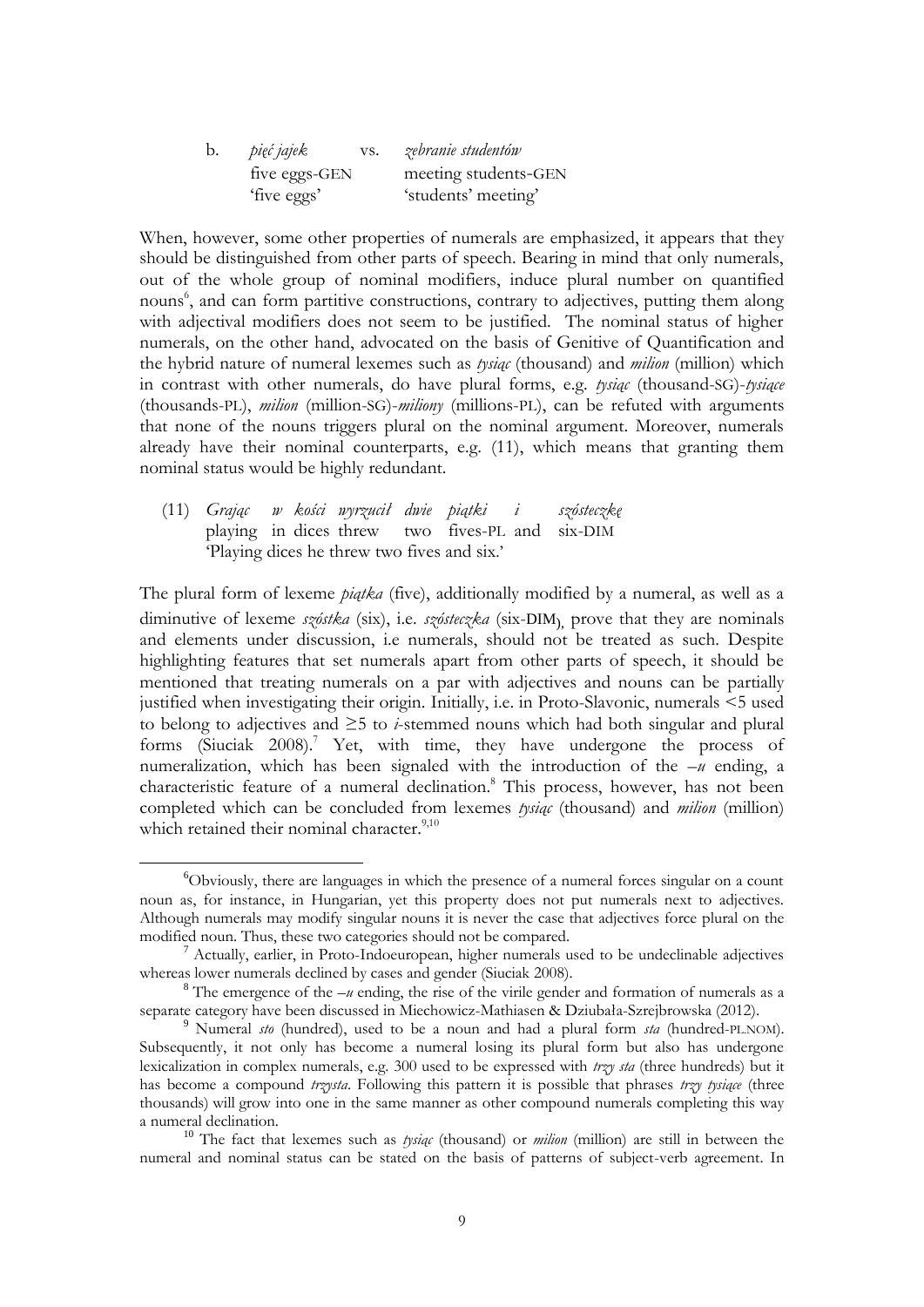| b. | pięć jajek<br>VS. | zebranie studentów   |
|----|-------------------|----------------------|
|    | five eggs-GEN     | meeting students-GEN |
|    | 'five eggs'       | 'students' meeting'  |

When, however, some other properties of numerals are emphasized, it appears that they should be distinguished from other parts of speech. Bearing in mind that only numerals, out of the whole group of nominal modifiers, induce plural number on quantified nouns 6 , and can form partitive constructions, contrary to adjectives, putting them along with adjectival modifiers does not seem to be justified. The nominal status of higher numerals, on the other hand, advocated on the basis of Genitive of Quantification and the hybrid nature of numeral lexemes such as *tysiąc* (thousand) and *milion* (million) which in contrast with other numerals, do have plural forms, e.g. *tysiąc* (thousand-SG)-*tysiące* (thousands-PL), *milion* (million-SG)-*miliony* (millions-PL), can be refuted with arguments that none of the nouns triggers plural on the nominal argument. Moreover, numerals already have their nominal counterparts, e.g. (11), which means that granting them nominal status would be highly redundant.

(11) *Grając w kości wyrzucił dwie piątki i szósteczkę* playing in dices threw two fives-PL and six-DIM 'Playing dices he threw two fives and six.'

1

The plural form of lexeme *piątka* (five), additionally modified by a numeral, as well as a diminutive of lexeme *szóstka* (six), i.e. *szósteczka* (six-DIM), prove that they are nominals and elements under discussion, i.e numerals, should not be treated as such. Despite highlighting features that set numerals apart from other parts of speech, it should be mentioned that treating numerals on a par with adjectives and nouns can be partially justified when investigating their origin. Initially, i.e. in Proto-Slavonic, numerals <5 used to belong to adjectives and ≥5 to *i*-stemmed nouns which had both singular and plural forms (Siuciak 2008).<sup>7</sup> Yet, with time, they have undergone the process of numeralization, which has been signaled with the introduction of the –*u* ending, a characteristic feature of a numeral declination.<sup>8</sup> This process, however, has not been completed which can be concluded from lexemes *tysiąc* (thousand) and *milion* (million) which retained their nominal character.<sup>9,10</sup>

<sup>6</sup>Obviously, there are languages in which the presence of a numeral forces singular on a count noun as, for instance, in Hungarian, yet this property does not put numerals next to adjectives. Although numerals may modify singular nouns it is never the case that adjectives force plural on the modified noun. Thus, these two categories should not be compared.

 $<sup>7</sup>$  Actually, earlier, in Proto-Indoeuropean, higher numerals used to be undeclinable adjectives</sup> whereas lower numerals declined by cases and gender (Siuciak 2008).

 $8$  The emergence of the  $-u$  ending, the rise of the virile gender and formation of numerals as a separate category have been discussed in Miechowicz-Mathiasen & Dziubała-Szrejbrowska (2012).

<sup>9</sup> Numeral *sto* (hundred), used to be a noun and had a plural form *sta* (hundred-PL.NOM). Subsequently, it not only has become a numeral losing its plural form but also has undergone lexicalization in complex numerals, e.g. 300 used to be expressed with *trzy sta* (three hundreds) but it has become a compound *trzysta*. Following this pattern it is possible that phrases *trzy tysiące* (three thousands) will grow into one in the same manner as other compound numerals completing this way a numeral declination.

<sup>10</sup> The fact that lexemes such as *tysiąc* (thousand) or *milion* (million) are still in between the numeral and nominal status can be stated on the basis of patterns of subject-verb agreement. In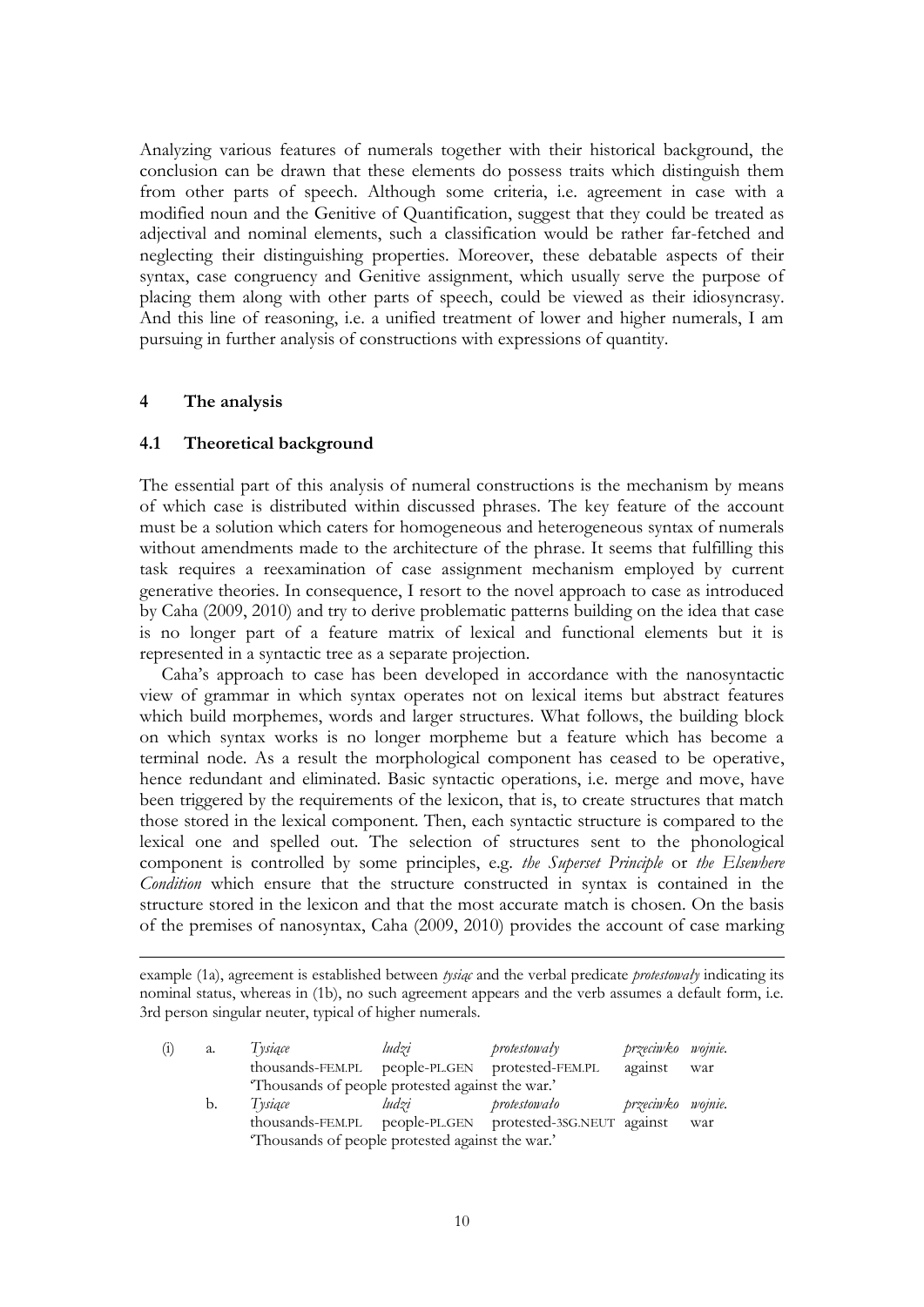Analyzing various features of numerals together with their historical background, the conclusion can be drawn that these elements do possess traits which distinguish them from other parts of speech. Although some criteria, i.e. agreement in case with a modified noun and the Genitive of Quantification, suggest that they could be treated as adjectival and nominal elements, such a classification would be rather far-fetched and neglecting their distinguishing properties. Moreover, these debatable aspects of their syntax, case congruency and Genitive assignment, which usually serve the purpose of placing them along with other parts of speech, could be viewed as their idiosyncrasy. And this line of reasoning, i.e. a unified treatment of lower and higher numerals, I am pursuing in further analysis of constructions with expressions of quantity.

## **4 The analysis**

1

# **4.1 Theoretical background**

The essential part of this analysis of numeral constructions is the mechanism by means of which case is distributed within discussed phrases. The key feature of the account must be a solution which caters for homogeneous and heterogeneous syntax of numerals without amendments made to the architecture of the phrase. It seems that fulfilling this task requires a reexamination of case assignment mechanism employed by current generative theories. In consequence, I resort to the novel approach to case as introduced by Caha (2009, 2010) and try to derive problematic patterns building on the idea that case is no longer part of a feature matrix of lexical and functional elements but it is represented in a syntactic tree as a separate projection.

Caha's approach to case has been developed in accordance with the nanosyntactic view of grammar in which syntax operates not on lexical items but abstract features which build morphemes, words and larger structures. What follows, the building block on which syntax works is no longer morpheme but a feature which has become a terminal node. As a result the morphological component has ceased to be operative, hence redundant and eliminated. Basic syntactic operations, i.e. merge and move, have been triggered by the requirements of the lexicon, that is, to create structures that match those stored in the lexical component. Then, each syntactic structure is compared to the lexical one and spelled out. The selection of structures sent to the phonological component is controlled by some principles, e.g. *the Superset Principle* or *the Elsewhere Condition* which ensure that the structure constructed in syntax is contained in the structure stored in the lexicon and that the most accurate match is chosen. On the basis of the premises of nanosyntax, Caha (2009, 2010) provides the account of case marking

example (1a), agreement is established between *tysiąc* and the verbal predicate *protestowały* indicating its nominal status, whereas in (1b), no such agreement appears and the verb assumes a default form, i.e. 3rd person singular neuter, typical of higher numerals.

| $\binom{1}{1}$ | a.                                              | Tysiące                                         | ludzi | protestowały                                             | przeciwko wojnie. |     |
|----------------|-------------------------------------------------|-------------------------------------------------|-------|----------------------------------------------------------|-------------------|-----|
|                |                                                 | thousands-FEM.PL                                |       | people-PLGEN protested-FEM.PL                            | against           | war |
|                |                                                 | Thousands of people protested against the war.' |       |                                                          |                   |     |
|                | b.                                              | Tysiące                                         | ludzi | protestowało                                             | przeciwko wojnie. |     |
|                |                                                 |                                                 |       | thousands-FEM.PL people-PLGEN protested-3SG.NEUT against |                   | war |
|                | Thousands of people protested against the war.' |                                                 |       |                                                          |                   |     |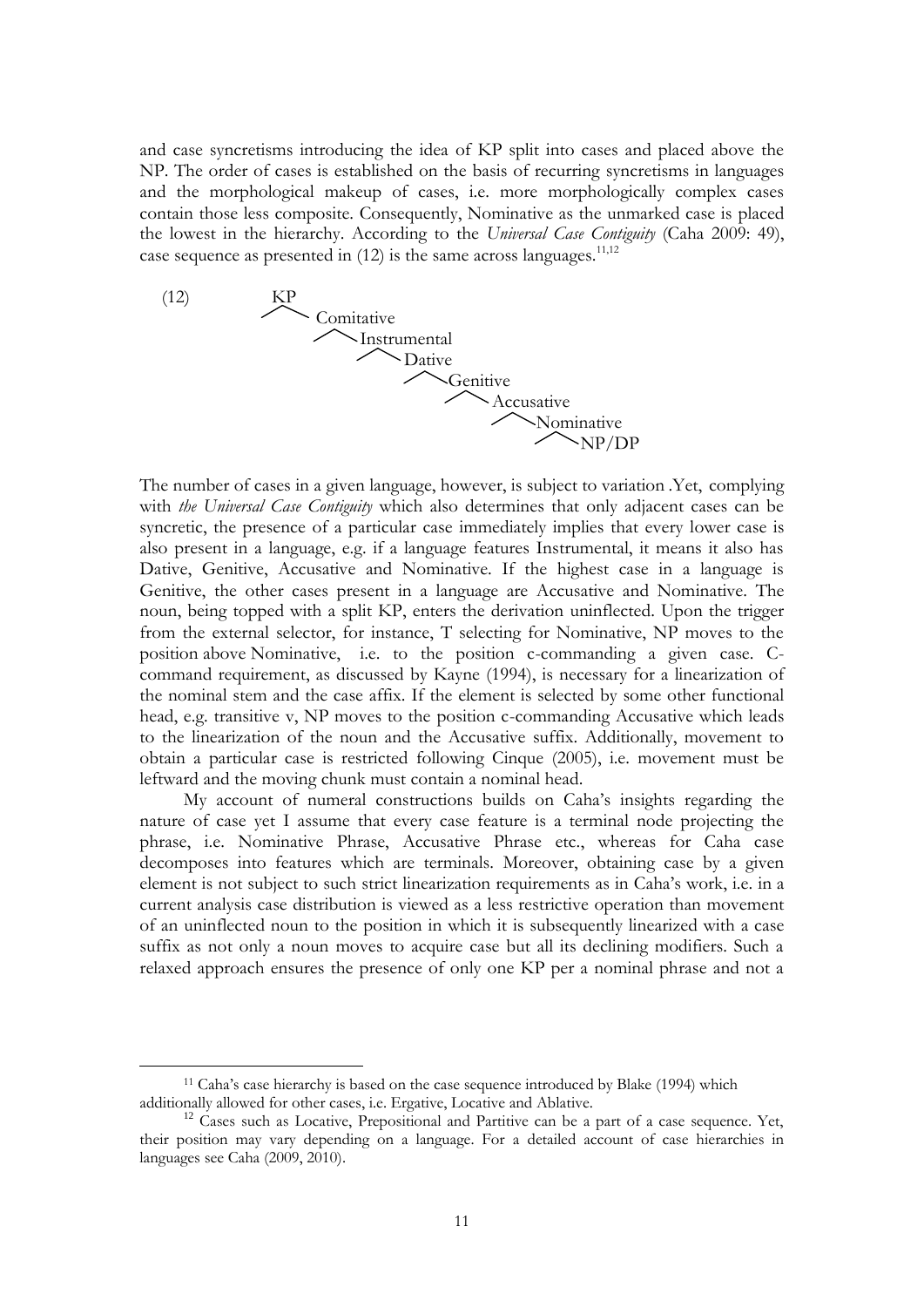and case syncretisms introducing the idea of KP split into cases and placed above the NP. The order of cases is established on the basis of recurring syncretisms in languages and the morphological makeup of cases, i.e. more morphologically complex cases contain those less composite. Consequently, Nominative as the unmarked case is placed the lowest in the hierarchy. According to the *Universal Case Contiguity* (Caha 2009: 49), case sequence as presented in  $(12)$  is the same across languages.<sup>11,12</sup>



The number of cases in a given language, however, is subject to variation .Yet, complying with *the Universal Case Contiguity* which also determines that only adjacent cases can be syncretic, the presence of a particular case immediately implies that every lower case is also present in a language, e.g. if a language features Instrumental, it means it also has Dative, Genitive, Accusative and Nominative. If the highest case in a language is Genitive, the other cases present in a language are Accusative and Nominative. The noun, being topped with a split KP, enters the derivation uninflected. Upon the trigger from the external selector, for instance, T selecting for Nominative, NP moves to the position above Nominative, i.e. to the position c-commanding a given case. Ccommand requirement, as discussed by Kayne (1994), is necessary for a linearization of the nominal stem and the case affix. If the element is selected by some other functional head, e.g. transitive v, NP moves to the position c-commanding Accusative which leads to the linearization of the noun and the Accusative suffix. Additionally, movement to obtain a particular case is restricted following Cinque (2005), i.e. movement must be leftward and the moving chunk must contain a nominal head.

My account of numeral constructions builds on Caha's insights regarding the nature of case yet I assume that every case feature is a terminal node projecting the phrase, i.e. Nominative Phrase, Accusative Phrase etc., whereas for Caha case decomposes into features which are terminals. Moreover, obtaining case by a given element is not subject to such strict linearization requirements as in Caha's work, i.e. in a current analysis case distribution is viewed as a less restrictive operation than movement of an uninflected noun to the position in which it is subsequently linearized with a case suffix as not only a noun moves to acquire case but all its declining modifiers. Such a relaxed approach ensures the presence of only one KP per a nominal phrase and not a

1

<sup>11</sup> Caha's case hierarchy is based on the case sequence introduced by Blake (1994) which additionally allowed for other cases, i.e. Ergative, Locative and Ablative.

 $12$  Cases such as Locative, Prepositional and Partitive can be a part of a case sequence. Yet, their position may vary depending on a language. For a detailed account of case hierarchies in languages see Caha (2009, 2010).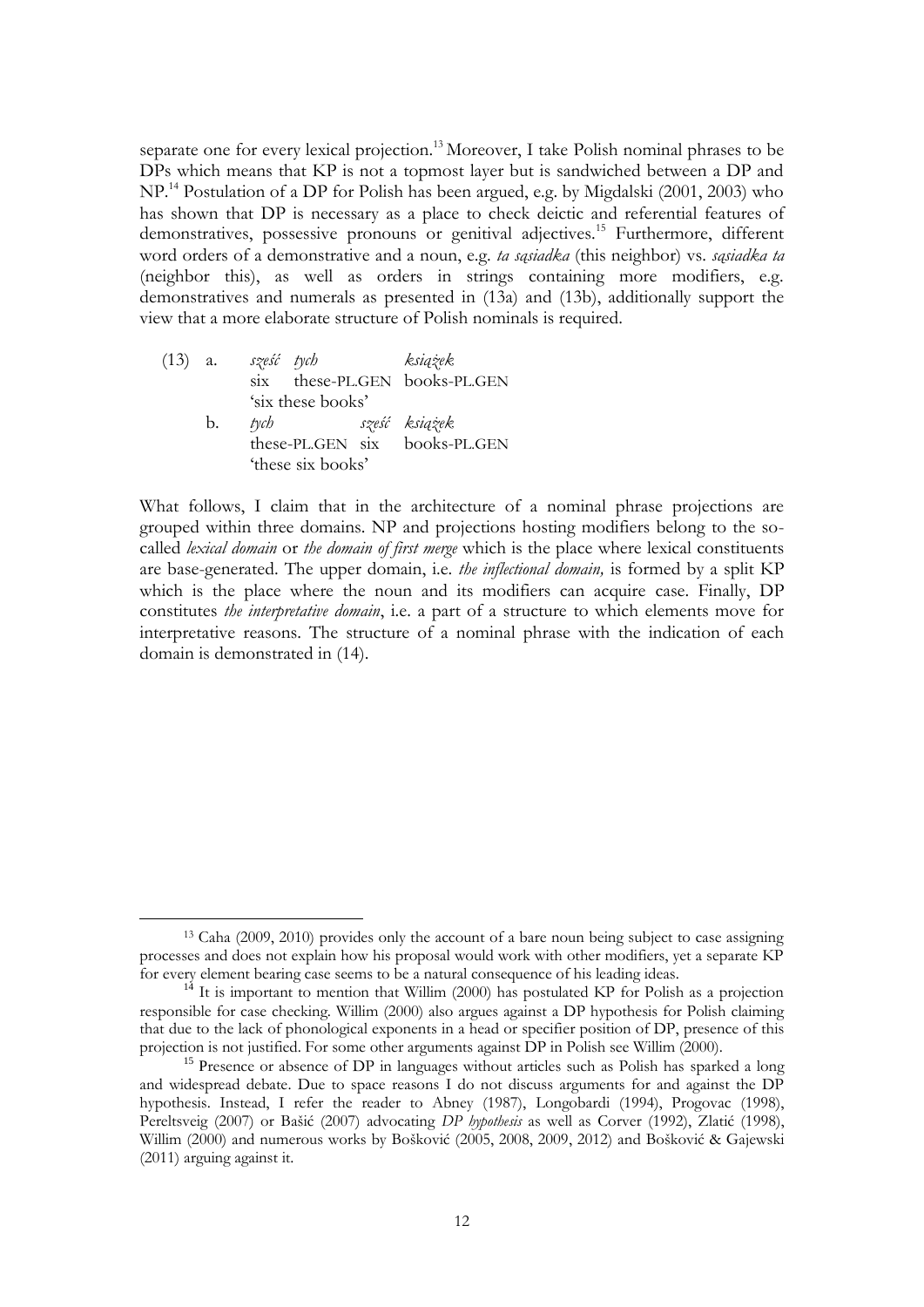separate one for every lexical projection.<sup>13</sup> Moreover, I take Polish nominal phrases to be DPs which means that KP is not a topmost layer but is sandwiched between a DP and NP.<sup>14</sup> Postulation of a DP for Polish has been argued, e.g. by Migdalski (2001, 2003) who has shown that DP is necessary as a place to check deictic and referential features of demonstratives, possessive pronouns or genitival adjectives.<sup>15</sup> Furthermore, different word orders of a demonstrative and a noun, e.g. *ta sąsiadka* (this neighbor) vs. *sąsiadka ta* (neighbor this), as well as orders in strings containing more modifiers, e.g. demonstratives and numerals as presented in (13a) and (13b), additionally support the view that a more elaborate structure of Polish nominals is required.

| $(13)$ a. |    | sześć tych              |                   | książek                       |
|-----------|----|-------------------------|-------------------|-------------------------------|
|           |    | $\overline{\text{S1X}}$ |                   | these-PL.GEN books-PL.GEN     |
|           |    |                         | 'six these books' |                               |
|           | b. | tych                    |                   | sześć książek                 |
|           |    |                         |                   | these-PL.GEN six books-PL.GEN |
|           |    |                         | 'these six books' |                               |

<u>.</u>

What follows, I claim that in the architecture of a nominal phrase projections are grouped within three domains. NP and projections hosting modifiers belong to the socalled *lexical domain* or *the domain of first merge* which is the place where lexical constituents are base-generated. The upper domain, i.e. *the inflectional domain,* is formed by a split KP which is the place where the noun and its modifiers can acquire case. Finally, DP constitutes *the interpretative domain*, i.e. a part of a structure to which elements move for interpretative reasons. The structure of a nominal phrase with the indication of each domain is demonstrated in (14).

<sup>13</sup> Caha (2009, 2010) provides only the account of a bare noun being subject to case assigning processes and does not explain how his proposal would work with other modifiers, yet a separate KP for every element bearing case seems to be a natural consequence of his leading ideas.

 $14$  It is important to mention that Willim (2000) has postulated KP for Polish as a projection responsible for case checking. Willim (2000) also argues against a DP hypothesis for Polish claiming that due to the lack of phonological exponents in a head or specifier position of DP, presence of this projection is not justified. For some other arguments against DP in Polish see Willim (2000).

<sup>&</sup>lt;sup>15</sup> Presence or absence of DP in languages without articles such as Polish has sparked a long and widespread debate. Due to space reasons I do not discuss arguments for and against the DP hypothesis. Instead, I refer the reader to Abney (1987), Longobardi (1994), Progovac (1998), Pereltsveig (2007) or Bašić (2007) advocating *DP hypothesis* as well as Corver (1992), Zlatić (1998), Willim (2000) and numerous works by Bošković (2005, 2008, 2009, 2012) and Bošković & Gajewski (2011) arguing against it.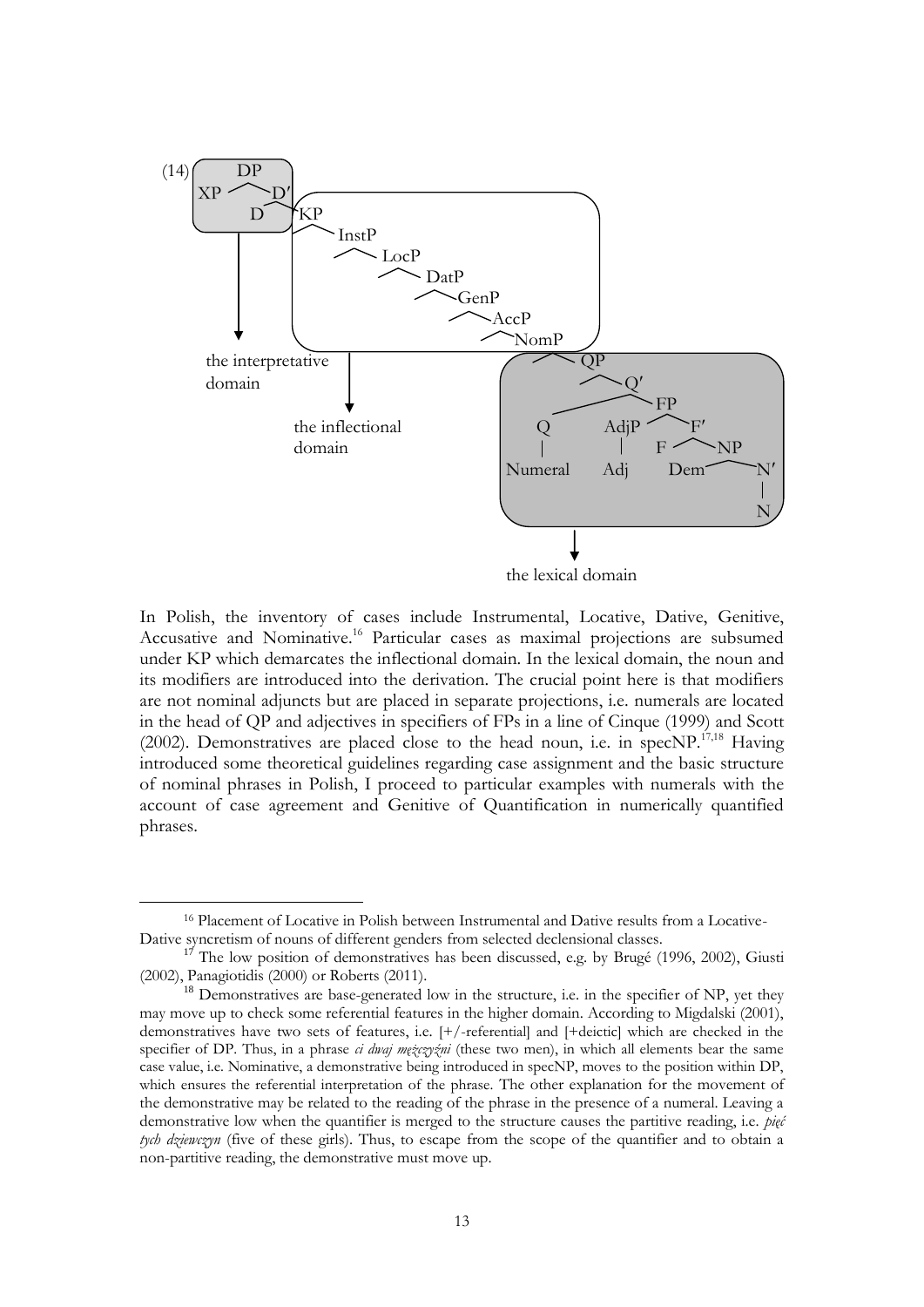

In Polish, the inventory of cases include Instrumental, Locative, Dative, Genitive, Accusative and Nominative.<sup>16</sup> Particular cases as maximal projections are subsumed under KP which demarcates the inflectional domain. In the lexical domain, the noun and its modifiers are introduced into the derivation. The crucial point here is that modifiers are not nominal adjuncts but are placed in separate projections, i.e. numerals are located in the head of QP and adjectives in specifiers of FPs in a line of Cinque (1999) and Scott (2002). Demonstratives are placed close to the head noun, i.e. in  $specNP^{17,18}$  Having introduced some theoretical guidelines regarding case assignment and the basic structure of nominal phrases in Polish, I proceed to particular examples with numerals with the account of case agreement and Genitive of Quantification in numerically quantified phrases.

1

<sup>16</sup> Placement of Locative in Polish between Instrumental and Dative results from a Locative-Dative syncretism of nouns of different genders from selected declensional classes.

 $1^7$  The low position of demonstratives has been discussed, e.g. by Brugé (1996, 2002), Giusti (2002), Panagiotidis (2000) or Roberts (2011).

 $18$  Demonstratives are base-generated low in the structure, i.e. in the specifier of NP, yet they may move up to check some referential features in the higher domain. According to Migdalski (2001), demonstratives have two sets of features, i.e. [+/-referential] and [+deictic] which are checked in the specifier of DP. Thus, in a phrase *ci dwaj mężczyźni* (these two men), in which all elements bear the same case value, i.e. Nominative, a demonstrative being introduced in specNP, moves to the position within DP, which ensures the referential interpretation of the phrase. The other explanation for the movement of the demonstrative may be related to the reading of the phrase in the presence of a numeral. Leaving a demonstrative low when the quantifier is merged to the structure causes the partitive reading, i.e. *pięć tych dziewczyn* (five of these girls). Thus, to escape from the scope of the quantifier and to obtain a non-partitive reading, the demonstrative must move up.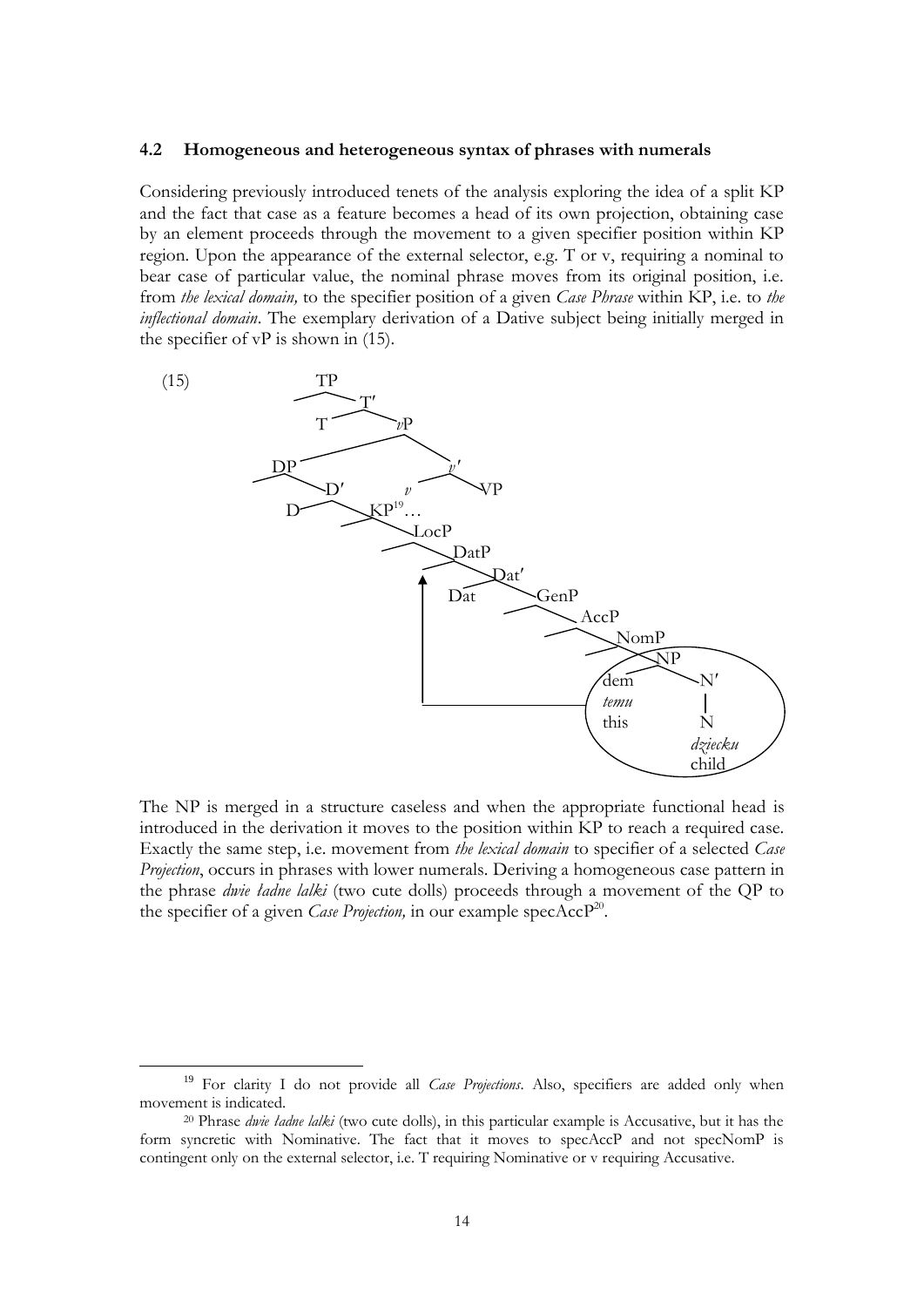#### **4.2 Homogeneous and heterogeneous syntax of phrases with numerals**

Considering previously introduced tenets of the analysis exploring the idea of a split KP and the fact that case as a feature becomes a head of its own projection, obtaining case by an element proceeds through the movement to a given specifier position within KP region. Upon the appearance of the external selector, e.g. T or v, requiring a nominal to bear case of particular value, the nominal phrase moves from its original position, i.e. from *the lexical domain,* to the specifier position of a given *Case Phrase* within KP, i.e. to *the inflectional domain*. The exemplary derivation of a Dative subject being initially merged in the specifier of  $vP$  is shown in (15).



The NP is merged in a structure caseless and when the appropriate functional head is introduced in the derivation it moves to the position within KP to reach a required case. Exactly the same step, i.e. movement from *the lexical domain* to specifier of a selected *Case Projection*, occurs in phrases with lower numerals. Deriving a homogeneous case pattern in the phrase *dwie ładne lalki* (two cute dolls) proceeds through a movement of the QP to the specifier of a given *Case Projection*, in our example specAccP<sup>20</sup>.

1

<sup>&</sup>lt;sup>19</sup> For clarity I do not provide all *Case Projections*. Also, specifiers are added only when movement is indicated.

<sup>20</sup> Phrase *dwie ładne lalki* (two cute dolls), in this particular example is Accusative, but it has the form syncretic with Nominative. The fact that it moves to specAccP and not specNomP is contingent only on the external selector, i.e. T requiring Nominative or v requiring Accusative.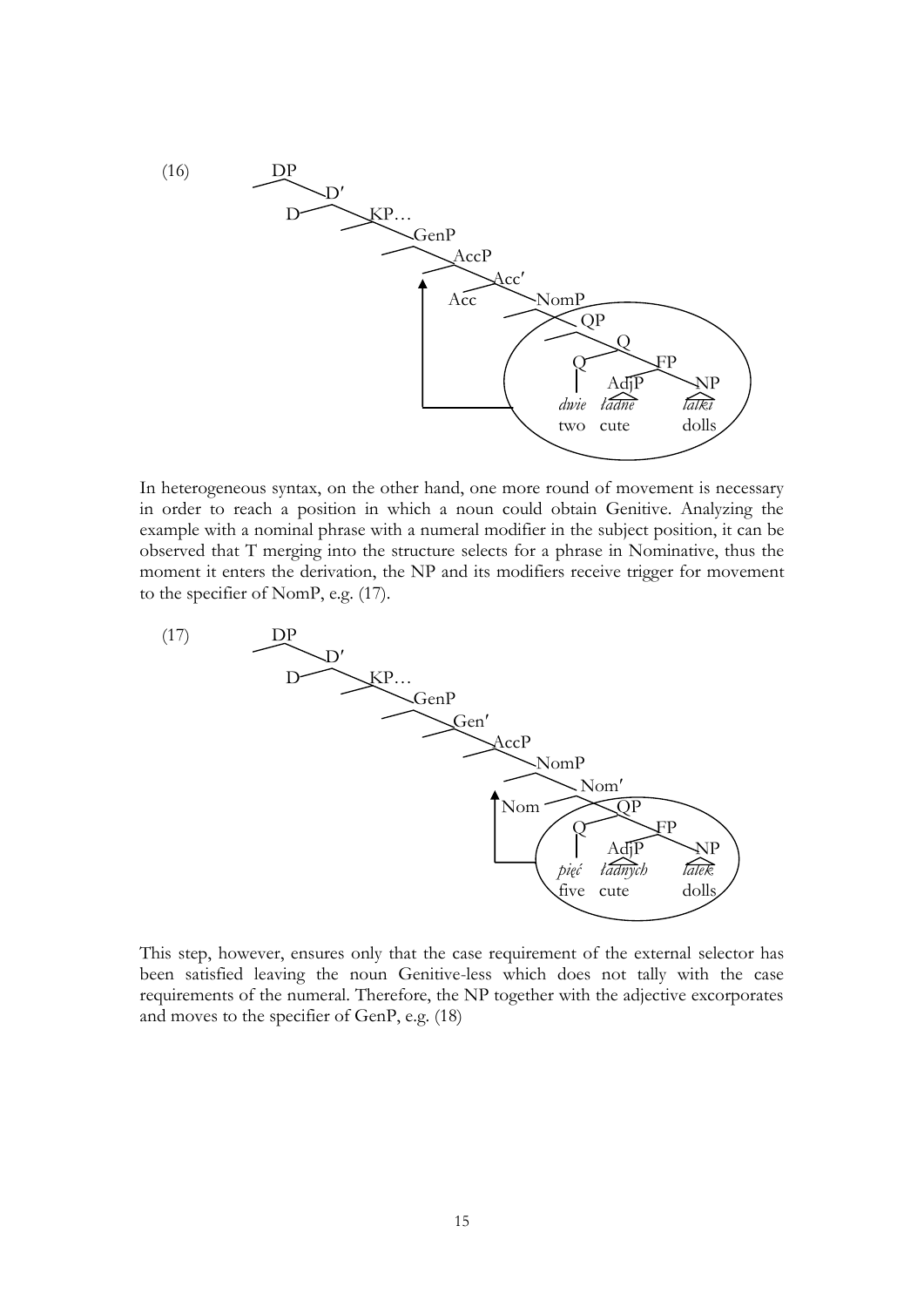

In heterogeneous syntax, on the other hand, one more round of movement is necessary in order to reach a position in which a noun could obtain Genitive. Analyzing the example with a nominal phrase with a numeral modifier in the subject position, it can be observed that T merging into the structure selects for a phrase in Nominative, thus the moment it enters the derivation, the NP and its modifiers receive trigger for movement to the specifier of NomP, e.g. (17).



This step, however, ensures only that the case requirement of the external selector has been satisfied leaving the noun Genitive-less which does not tally with the case requirements of the numeral. Therefore, the NP together with the adjective excorporates and moves to the specifier of GenP, e.g. (18)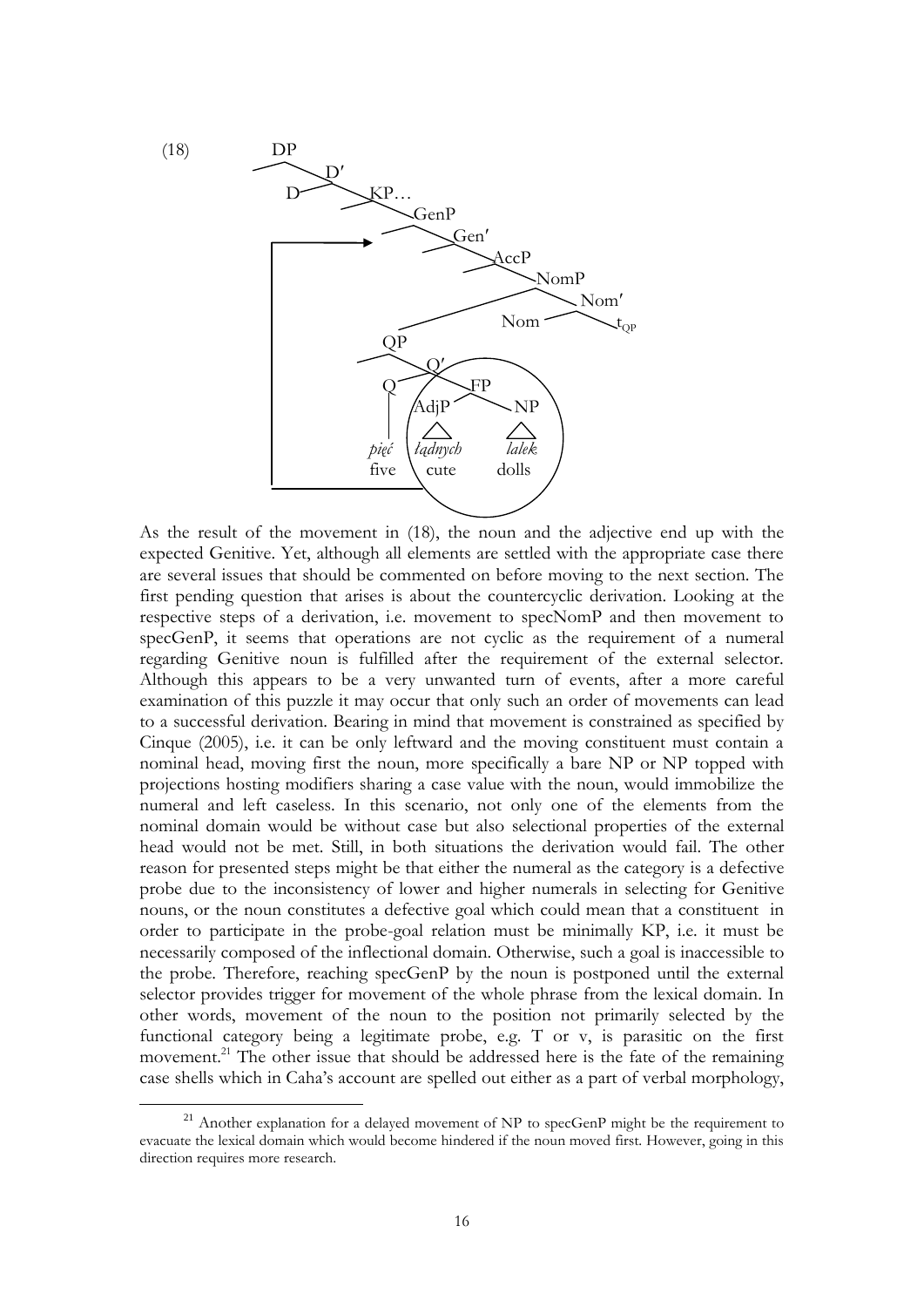

As the result of the movement in (18), the noun and the adjective end up with the expected Genitive. Yet, although all elements are settled with the appropriate case there are several issues that should be commented on before moving to the next section. The first pending question that arises is about the countercyclic derivation. Looking at the respective steps of a derivation, i.e. movement to specNomP and then movement to specGenP, it seems that operations are not cyclic as the requirement of a numeral regarding Genitive noun is fulfilled after the requirement of the external selector. Although this appears to be a very unwanted turn of events, after a more careful examination of this puzzle it may occur that only such an order of movements can lead to a successful derivation. Bearing in mind that movement is constrained as specified by Cinque (2005), i.e. it can be only leftward and the moving constituent must contain a nominal head, moving first the noun, more specifically a bare NP or NP topped with projections hosting modifiers sharing a case value with the noun, would immobilize the numeral and left caseless. In this scenario, not only one of the elements from the nominal domain would be without case but also selectional properties of the external head would not be met. Still, in both situations the derivation would fail. The other reason for presented steps might be that either the numeral as the category is a defective probe due to the inconsistency of lower and higher numerals in selecting for Genitive nouns, or the noun constitutes a defective goal which could mean that a constituent in order to participate in the probe-goal relation must be minimally KP, i.e. it must be necessarily composed of the inflectional domain. Otherwise, such a goal is inaccessible to the probe. Therefore, reaching specGenP by the noun is postponed until the external selector provides trigger for movement of the whole phrase from the lexical domain. In other words, movement of the noun to the position not primarily selected by the functional category being a legitimate probe, e.g. T or v, is parasitic on the first movement.<sup>21</sup> The other issue that should be addressed here is the fate of the remaining case shells which in Caha's account are spelled out either as a part of verbal morphology,

<sup>&</sup>lt;sup>21</sup> Another explanation for a delayed movement of NP to specGenP might be the requirement to evacuate the lexical domain which would become hindered if the noun moved first. However, going in this direction requires more research.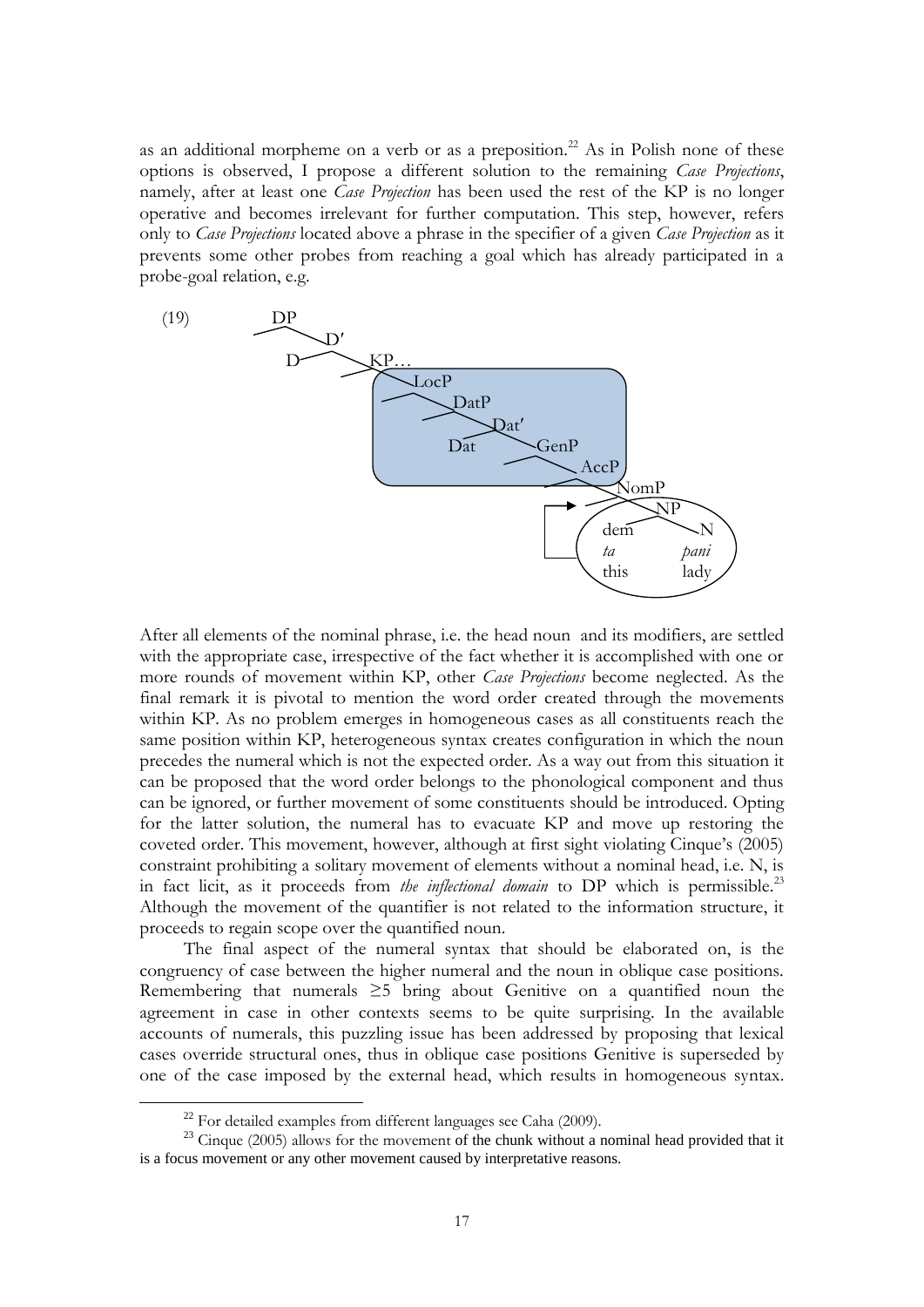as an additional morpheme on a verb or as a preposition.<sup>22</sup> As in Polish none of these options is observed, I propose a different solution to the remaining *Case Projections*, namely, after at least one *Case Projection* has been used the rest of the KP is no longer operative and becomes irrelevant for further computation. This step, however, refers only to *Case Projections* located above a phrase in the specifier of a given *Case Projection* as it prevents some other probes from reaching a goal which has already participated in a probe-goal relation, e.g.



After all elements of the nominal phrase, i.e. the head noun and its modifiers, are settled with the appropriate case, irrespective of the fact whether it is accomplished with one or more rounds of movement within KP, other *Case Projections* become neglected. As the final remark it is pivotal to mention the word order created through the movements within KP. As no problem emerges in homogeneous cases as all constituents reach the same position within KP, heterogeneous syntax creates configuration in which the noun precedes the numeral which is not the expected order. As a way out from this situation it can be proposed that the word order belongs to the phonological component and thus can be ignored, or further movement of some constituents should be introduced. Opting for the latter solution, the numeral has to evacuate KP and move up restoring the coveted order. This movement, however, although at first sight violating Cinque's (2005) constraint prohibiting a solitary movement of elements without a nominal head, i.e. N, is in fact licit, as it proceeds from *the inflectional domain* to DP which is permissible.<sup>23</sup> Although the movement of the quantifier is not related to the information structure, it proceeds to regain scope over the quantified noun.

The final aspect of the numeral syntax that should be elaborated on, is the congruency of case between the higher numeral and the noun in oblique case positions. Remembering that numerals ≥5 bring about Genitive on a quantified noun the agreement in case in other contexts seems to be quite surprising. In the available accounts of numerals, this puzzling issue has been addressed by proposing that lexical cases override structural ones, thus in oblique case positions Genitive is superseded by one of the case imposed by the external head, which results in homogeneous syntax.

 $22$  For detailed examples from different languages see Caha (2009).

 $23$  Cinque (2005) allows for the movement of the chunk without a nominal head provided that it is a focus movement or any other movement caused by interpretative reasons.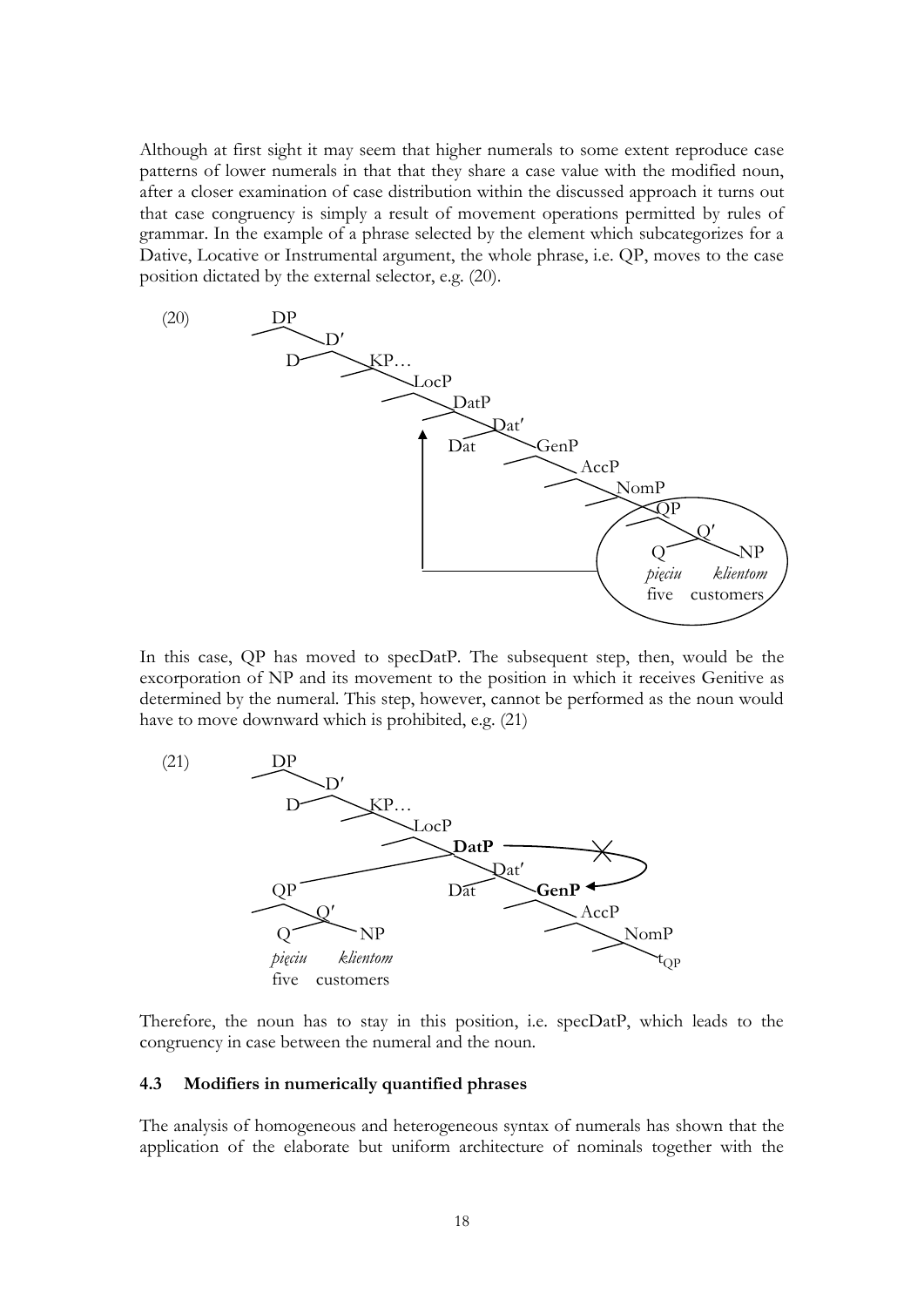Although at first sight it may seem that higher numerals to some extent reproduce case patterns of lower numerals in that that they share a case value with the modified noun, after a closer examination of case distribution within the discussed approach it turns out that case congruency is simply a result of movement operations permitted by rules of grammar. In the example of a phrase selected by the element which subcategorizes for a Dative, Locative or Instrumental argument, the whole phrase, i.e. QP, moves to the case position dictated by the external selector, e.g. (20).



In this case, QP has moved to specDatP. The subsequent step, then, would be the excorporation of NP and its movement to the position in which it receives Genitive as determined by the numeral. This step, however, cannot be performed as the noun would have to move downward which is prohibited, e.g. (21)



Therefore, the noun has to stay in this position, i.e. specDatP, which leads to the congruency in case between the numeral and the noun.

### **4.3 Modifiers in numerically quantified phrases**

The analysis of homogeneous and heterogeneous syntax of numerals has shown that the application of the elaborate but uniform architecture of nominals together with the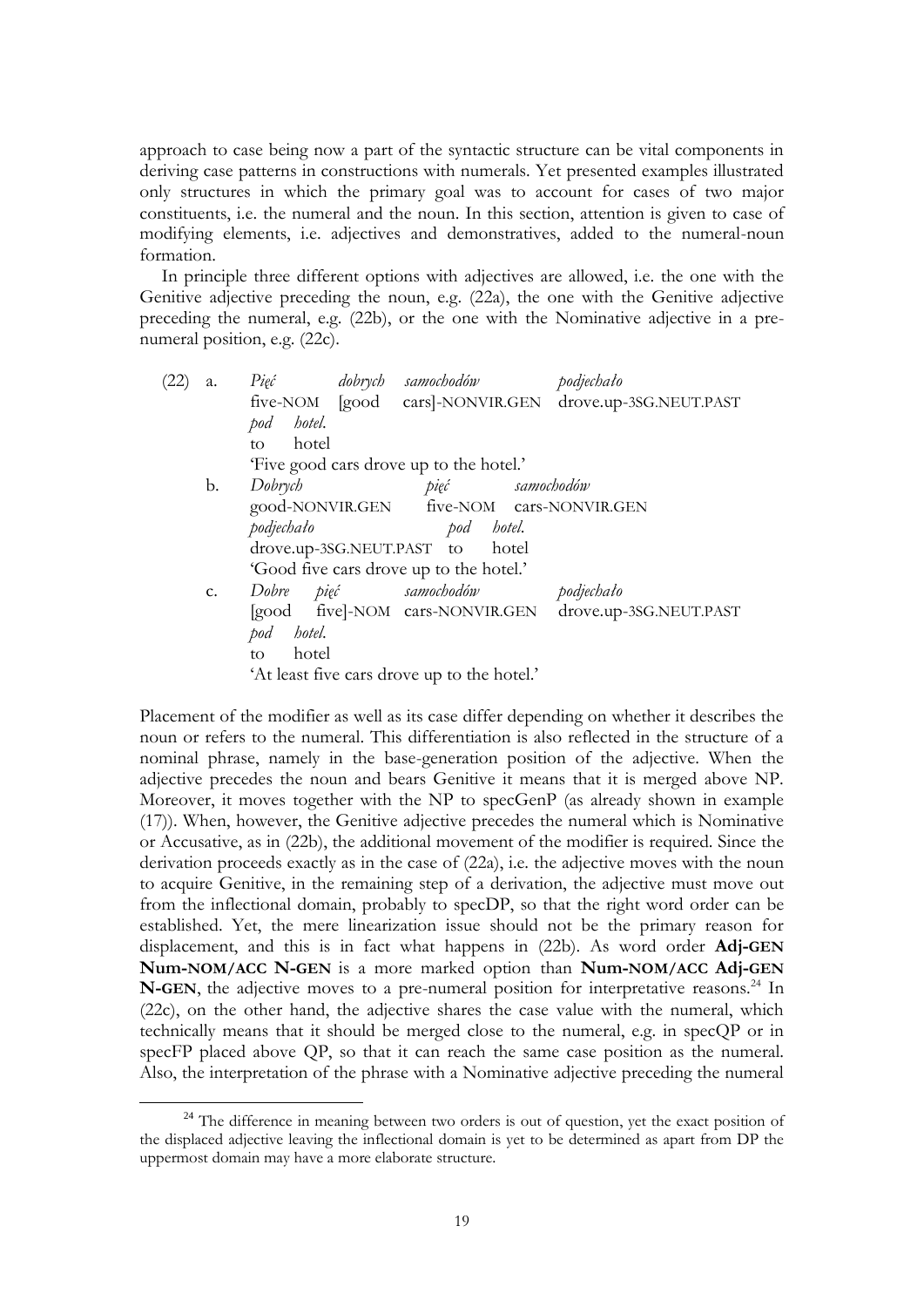approach to case being now a part of the syntactic structure can be vital components in deriving case patterns in constructions with numerals. Yet presented examples illustrated only structures in which the primary goal was to account for cases of two major constituents, i.e. the numeral and the noun. In this section, attention is given to case of modifying elements, i.e. adjectives and demonstratives, added to the numeral-noun formation.

In principle three different options with adjectives are allowed, i.e. the one with the Genitive adjective preceding the noun, e.g. (22a), the one with the Genitive adjective preceding the numeral, e.g. (22b), or the one with the Nominative adjective in a prenumeral position, e.g. (22c).

| a.            | $Pi$ gć       | dobrych samochodów                          |            | podjechało                                             |
|---------------|---------------|---------------------------------------------|------------|--------------------------------------------------------|
|               |               |                                             |            | five-NOM [good cars]-NONVIR.GEN drove.up-3SG.NEUT.PAST |
|               | hotel.<br>pod |                                             |            |                                                        |
|               | hotel<br>to   |                                             |            |                                                        |
|               |               | 'Five good cars drove up to the hotel.'     |            |                                                        |
| b.            | Dobrych       | pięć                                        | samochodów |                                                        |
|               |               |                                             |            | good-NONVIR.GEN five-NOM cars-NONVIR.GEN               |
|               | podjechało    | pod hotel.                                  |            |                                                        |
|               |               | drove.up-3SG.NEUT.PAST to hotel             |            |                                                        |
|               |               | 'Good five cars drove up to the hotel.'     |            |                                                        |
| $C_{\bullet}$ | Dobre<br>pięć | samochodów                                  |            | podjechało                                             |
|               |               | [good five]-NOM cars-NONVIR.GEN             |            | drove.up-3SG.NEUT.PAST                                 |
|               | hotel.<br>pod |                                             |            |                                                        |
|               | hotel<br>to:  |                                             |            |                                                        |
|               |               | 'At least five cars drove up to the hotel.' |            |                                                        |
|               |               |                                             |            |                                                        |

Placement of the modifier as well as its case differ depending on whether it describes the noun or refers to the numeral. This differentiation is also reflected in the structure of a nominal phrase, namely in the base-generation position of the adjective. When the adjective precedes the noun and bears Genitive it means that it is merged above NP. Moreover, it moves together with the NP to specGenP (as already shown in example (17)). When, however, the Genitive adjective precedes the numeral which is Nominative or Accusative, as in (22b), the additional movement of the modifier is required. Since the derivation proceeds exactly as in the case of (22a), i.e. the adjective moves with the noun to acquire Genitive, in the remaining step of a derivation, the adjective must move out from the inflectional domain, probably to specDP, so that the right word order can be established. Yet, the mere linearization issue should not be the primary reason for displacement, and this is in fact what happens in (22b). As word order **Adj-GEN Num-NOM/ACC N-GEN** is a more marked option than **Num-NOM/ACC Adj-GEN N-GEN**, the adjective moves to a pre-numeral position for interpretative reasons.<sup>24</sup> In (22c), on the other hand, the adjective shares the case value with the numeral, which technically means that it should be merged close to the numeral, e.g. in specQP or in specFP placed above QP, so that it can reach the same case position as the numeral. Also, the interpretation of the phrase with a Nominative adjective preceding the numeral

 $24$  The difference in meaning between two orders is out of question, yet the exact position of the displaced adjective leaving the inflectional domain is yet to be determined as apart from DP the uppermost domain may have a more elaborate structure.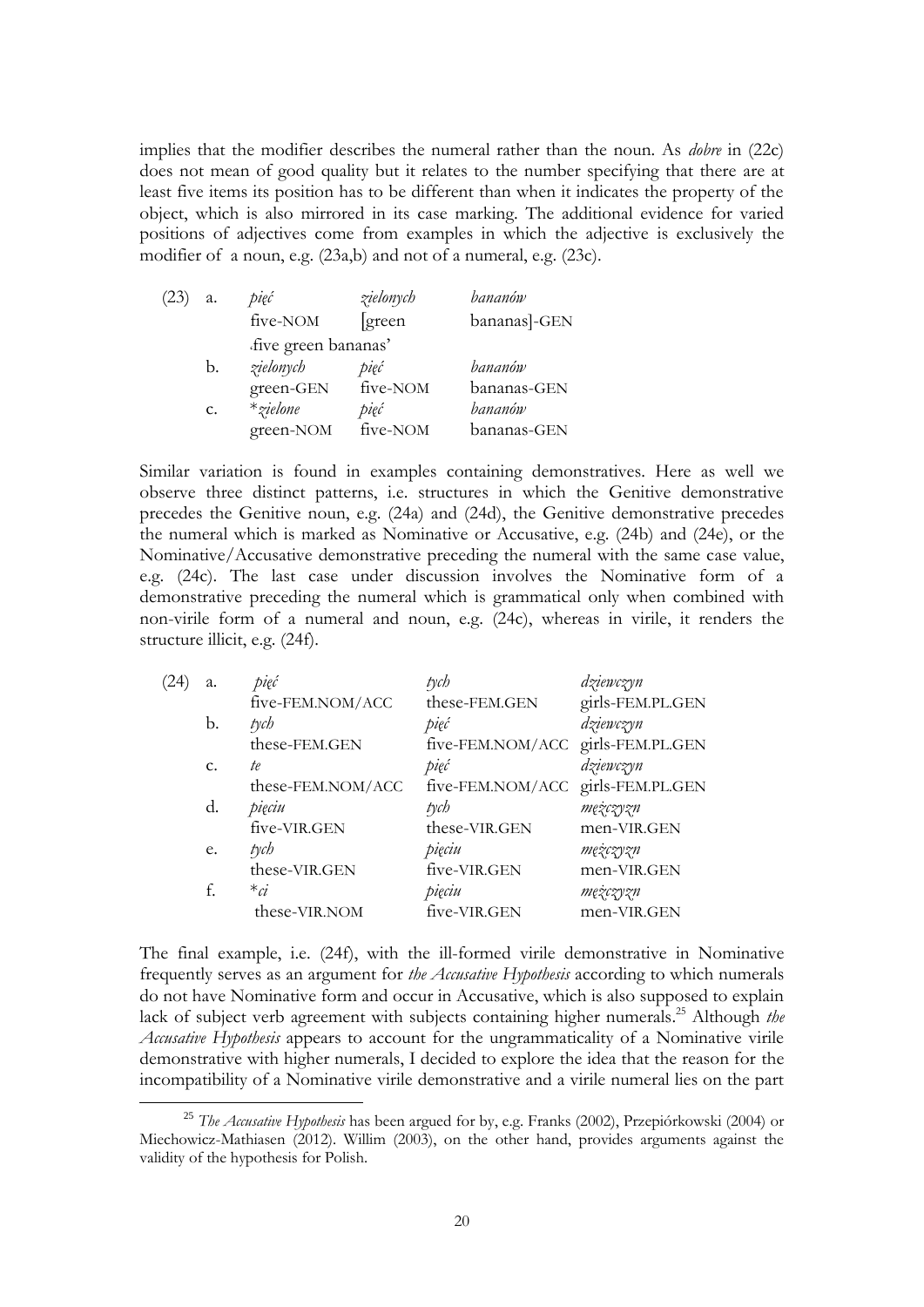implies that the modifier describes the numeral rather than the noun. As *dobre* in (22c) does not mean of good quality but it relates to the number specifying that there are at least five items its position has to be different than when it indicates the property of the object, which is also mirrored in its case marking. The additional evidence for varied positions of adjectives come from examples in which the adjective is exclusively the modifier of a noun, e.g. (23a,b) and not of a numeral, e.g. (23c).

| (23) | a. | pięć                | zielonych | bananów      |
|------|----|---------------------|-----------|--------------|
|      |    | five-NOM            | [green]   | bananas]-GEN |
|      |    | five green bananas' |           |              |
|      | b. | zielonych           | pięć      | bananów      |
|      |    | green-GEN           | five-NOM  | bananas-GEN  |
|      | C. | $*$ zielone         | pięć      | bananów      |
|      |    | green-NOM           | five-NOM  | bananas-GEN  |

Similar variation is found in examples containing demonstratives. Here as well we observe three distinct patterns, i.e. structures in which the Genitive demonstrative precedes the Genitive noun, e.g. (24a) and (24d), the Genitive demonstrative precedes the numeral which is marked as Nominative or Accusative, e.g. (24b) and (24e), or the Nominative/Accusative demonstrative preceding the numeral with the same case value, e.g. (24c). The last case under discussion involves the Nominative form of a demonstrative preceding the numeral which is grammatical only when combined with non-virile form of a numeral and noun, e.g. (24c), whereas in virile, it renders the structure illicit, e.g. (24f).

| a.          | pięć              | tych                              | dziewczyn        |
|-------------|-------------------|-----------------------------------|------------------|
|             | five-FEM.NOM/ACC  | these-FEM.GEN                     | girls-FEM.PL.GEN |
| b.          | $t$ ych           | pięć                              | dziewczyn        |
|             | these-FEM.GEN     | five-FEM.NOM/ACC girls-FEM.PL.GEN |                  |
| $C_{\star}$ | te                | pięć                              | dziewczyn        |
|             | these-FEM.NOM/ACC | five-FEM.NOM/ACC girls-FEM.PL.GEN |                  |
| d.          | pięciu            | tych                              | mężczyzn         |
|             | five-VIR.GEN      | these-VIR.GEN                     | men-VIR.GEN      |
| e.          | tych              | pięciu                            | mężczyzn         |
|             | these-VIR.GEN     | five-VIR.GEN                      | men-VIR.GEN      |
| f.          | $*_c$             | pięciu                            | mężczyzn         |
|             | these-VIR.NOM     | five-VIR.GEN                      | men-VIR.GEN      |
|             |                   |                                   |                  |

The final example, i.e. (24f), with the ill-formed virile demonstrative in Nominative frequently serves as an argument for *the Accusative Hypothesis* according to which numerals do not have Nominative form and occur in Accusative, which is also supposed to explain lack of subject verb agreement with subjects containing higher numerals. <sup>25</sup> Although *the Accusative Hypothesis* appears to account for the ungrammaticality of a Nominative virile demonstrative with higher numerals, I decided to explore the idea that the reason for the incompatibility of a Nominative virile demonstrative and a virile numeral lies on the part

<sup>25</sup> *The Accusative Hypothesis* has been argued for by, e.g. Franks (2002), Przepiórkowski (2004) or Miechowicz-Mathiasen (2012). Willim (2003), on the other hand, provides arguments against the validity of the hypothesis for Polish.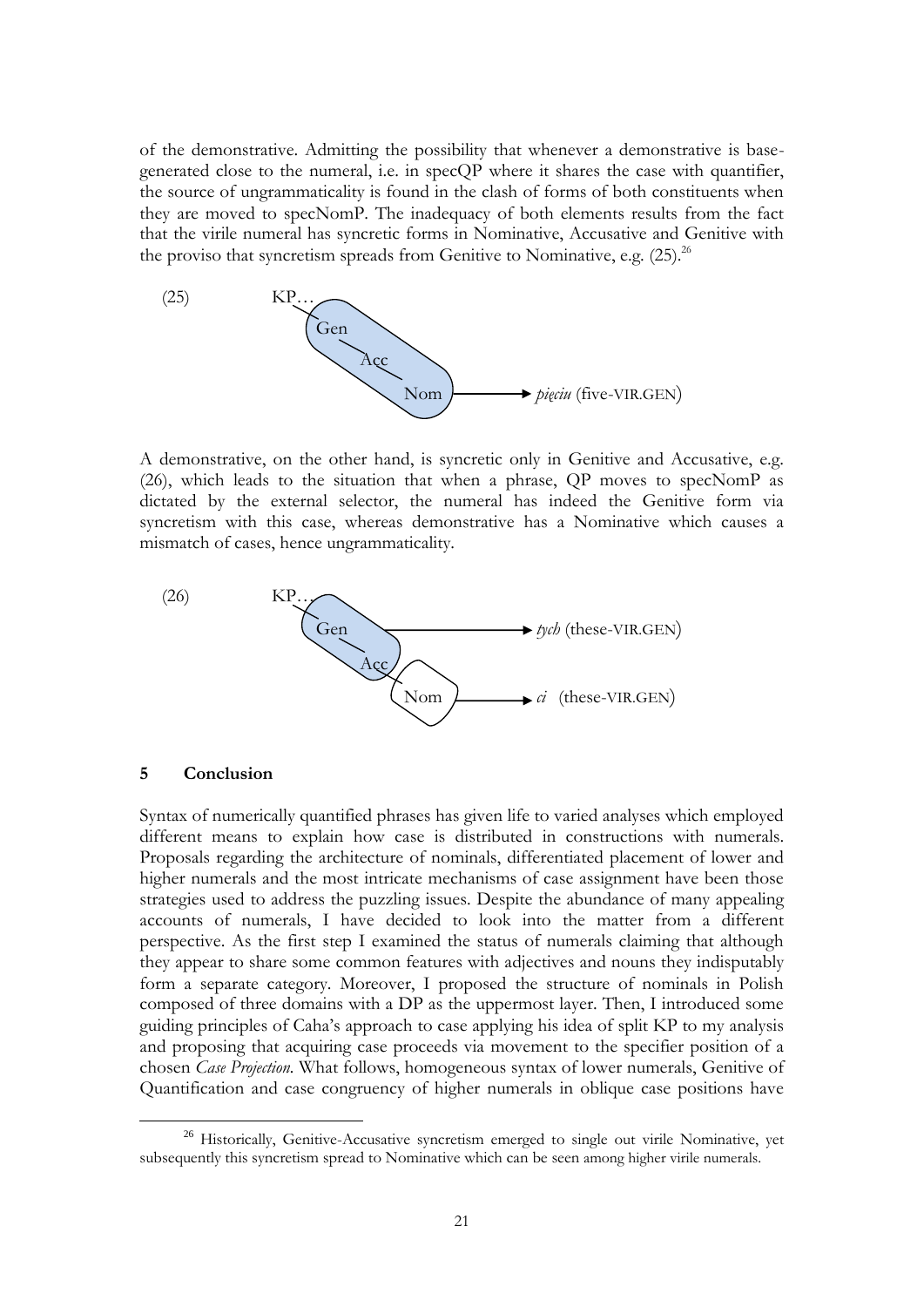of the demonstrative. Admitting the possibility that whenever a demonstrative is basegenerated close to the numeral, i.e. in specQP where it shares the case with quantifier, the source of ungrammaticality is found in the clash of forms of both constituents when they are moved to specNomP. The inadequacy of both elements results from the fact that the virile numeral has syncretic forms in Nominative, Accusative and Genitive with the proviso that syncretism spreads from Genitive to Nominative, e.g.  $(25)^{26}$ 



A demonstrative, on the other hand, is syncretic only in Genitive and Accusative, e.g. (26), which leads to the situation that when a phrase, QP moves to specNomP as dictated by the external selector, the numeral has indeed the Genitive form via syncretism with this case, whereas demonstrative has a Nominative which causes a mismatch of cases, hence ungrammaticality.



## **5 Conclusion**

1

Syntax of numerically quantified phrases has given life to varied analyses which employed different means to explain how case is distributed in constructions with numerals. Proposals regarding the architecture of nominals, differentiated placement of lower and higher numerals and the most intricate mechanisms of case assignment have been those strategies used to address the puzzling issues. Despite the abundance of many appealing accounts of numerals, I have decided to look into the matter from a different perspective. As the first step I examined the status of numerals claiming that although they appear to share some common features with adjectives and nouns they indisputably form a separate category. Moreover, I proposed the structure of nominals in Polish composed of three domains with a DP as the uppermost layer. Then, I introduced some guiding principles of Caha's approach to case applying his idea of split KP to my analysis and proposing that acquiring case proceeds via movement to the specifier position of a chosen *Case Projection.* What follows, homogeneous syntax of lower numerals, Genitive of Quantification and case congruency of higher numerals in oblique case positions have

<sup>&</sup>lt;sup>26</sup> Historically, Genitive-Accusative syncretism emerged to single out virile Nominative, yet subsequently this syncretism spread to Nominative which can be seen among higher virile numerals.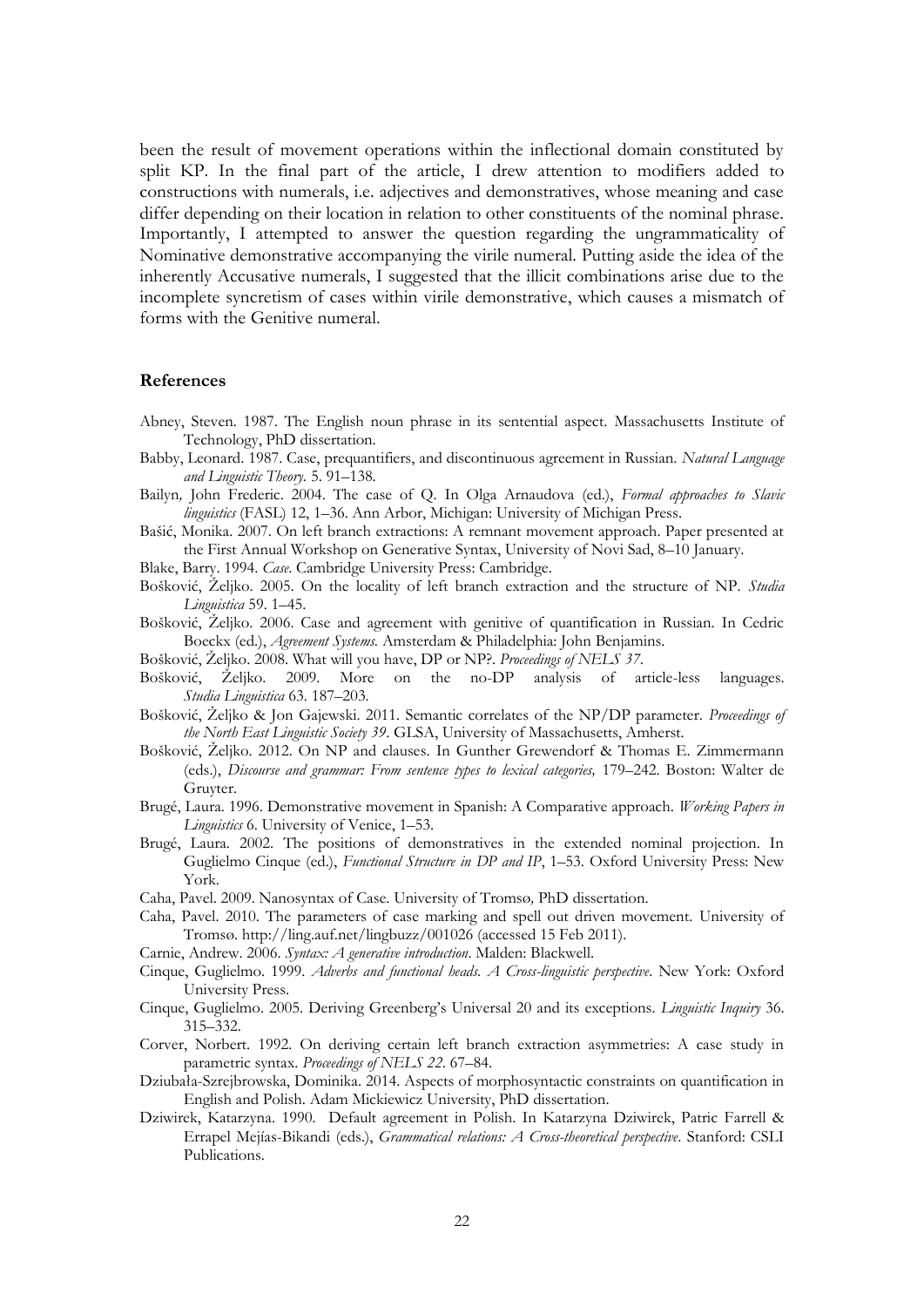been the result of movement operations within the inflectional domain constituted by split KP. In the final part of the article, I drew attention to modifiers added to constructions with numerals, i.e. adjectives and demonstratives, whose meaning and case differ depending on their location in relation to other constituents of the nominal phrase. Importantly, I attempted to answer the question regarding the ungrammaticality of Nominative demonstrative accompanying the virile numeral. Putting aside the idea of the inherently Accusative numerals, I suggested that the illicit combinations arise due to the incomplete syncretism of cases within virile demonstrative, which causes a mismatch of forms with the Genitive numeral.

## **References**

- Abney, Steven. 1987. The English noun phrase in its sentential aspect. Massachusetts Institute of Technology, PhD dissertation.
- Babby, Leonard. 1987. Case, prequantifiers, and discontinuous agreement in Russian. *Natural Language and Linguistic Theory.* 5. 91–138.
- Bailyn*,* John Frederic. 2004. The case of Q*.* In Olga Arnaudova (ed.), *Formal approaches to Slavic linguistics* (FASL) 12, 1–36. Ann Arbor, Michigan: University of Michigan Press.
- Bašić, Monika. 2007. On left branch extractions: A remnant movement approach. Paper presented at the First Annual Workshop on Generative Syntax, University of Novi Sad, 8–10 January.
- Blake, Barry. 1994. *Case*. Cambridge University Press: Cambridge.
- Bošković, Željko. 2005. On the locality of left branch extraction and the structure of NP. *Studia Linguistica* 59. 1–45.
- Bošković, Željko. 2006. Case and agreement with genitive of quantification in Russian. In Cedric Boeckx (ed.), *Agreement Systems.* Amsterdam & Philadelphia: John Benjamins.
- Bošković, Željko. 2008. What will you have, DP or NP?. *Proceedings of NELS 37*.
- Bošković, Željko. 2009. [More on the no-DP analysis of article-less languages.](http://web2.uconn.edu/boskovic/papers/StudiaLing.Final.pdf) *Studia Linguistica* 63*.* 187–203*.*
- Bošković, Željko & Jon Gajewski. 2011. Semantic correlates of the NP/DP parameter. *Proceedings of the North East Linguistic Society 39*. GLSA, University of Massachusetts, Amherst.
- Bošković, Željko. 2012. On NP and clauses. In Gunther Grewendorf & Thomas E. Zimmermann (eds.), *Discourse and grammar: From sentence types to lexical categories,* 179–242. Boston: Walter de Gruyter.
- Brugé, Laura. 1996. Demonstrative movement in Spanish: A Comparative approach. *Working Papers in Linguistics* 6. University of Venice, 1–53.
- Brugé, Laura. 2002. The positions of demonstratives in the extended nominal projection. In Guglielmo Cinque (ed.), *Functional Structure in DP and IP*, 1–53. Oxford University Press: New York.
- Caha, Pavel. 2009. Nanosyntax of Case. University of Tromsø*,* PhD dissertation.
- Caha, Pavel. 2010. The parameters of case marking and spell out driven movement. University of Tromsø. <http://ling.auf.net/lingbuzz/001026> (accessed 15 Feb 2011).
- Carnie, Andrew. 2006. *Syntax: A generative introduction*. Malden: Blackwell.
- Cinque, Guglielmo. 1999. *Adverbs and functional heads. A Cross-linguistic perspective*. New York: Oxford University Press.
- Cinque, Guglielmo. 2005. Deriving Greenberg's Universal 20 and its exceptions. *Linguistic Inquiry* 36. 315–332.
- Corver, Norbert. 1992. On deriving certain left branch extraction asymmetries: A case study in parametric syntax. *Proceedings of NELS 22*. 67–84.
- Dziubała-Szrejbrowska, Dominika. 2014. Aspects of morphosyntactic constraints on quantification in English and Polish. Adam Mickiewicz University, PhD dissertation.
- Dziwirek, Katarzyna. 1990. Default agreement in Polish. In Katarzyna Dziwirek, Patric Farrell & Errapel Mejías-Bikandi (eds.), *Grammatical relations: A Cross-theoretical perspective*. Stanford: CSLI Publications.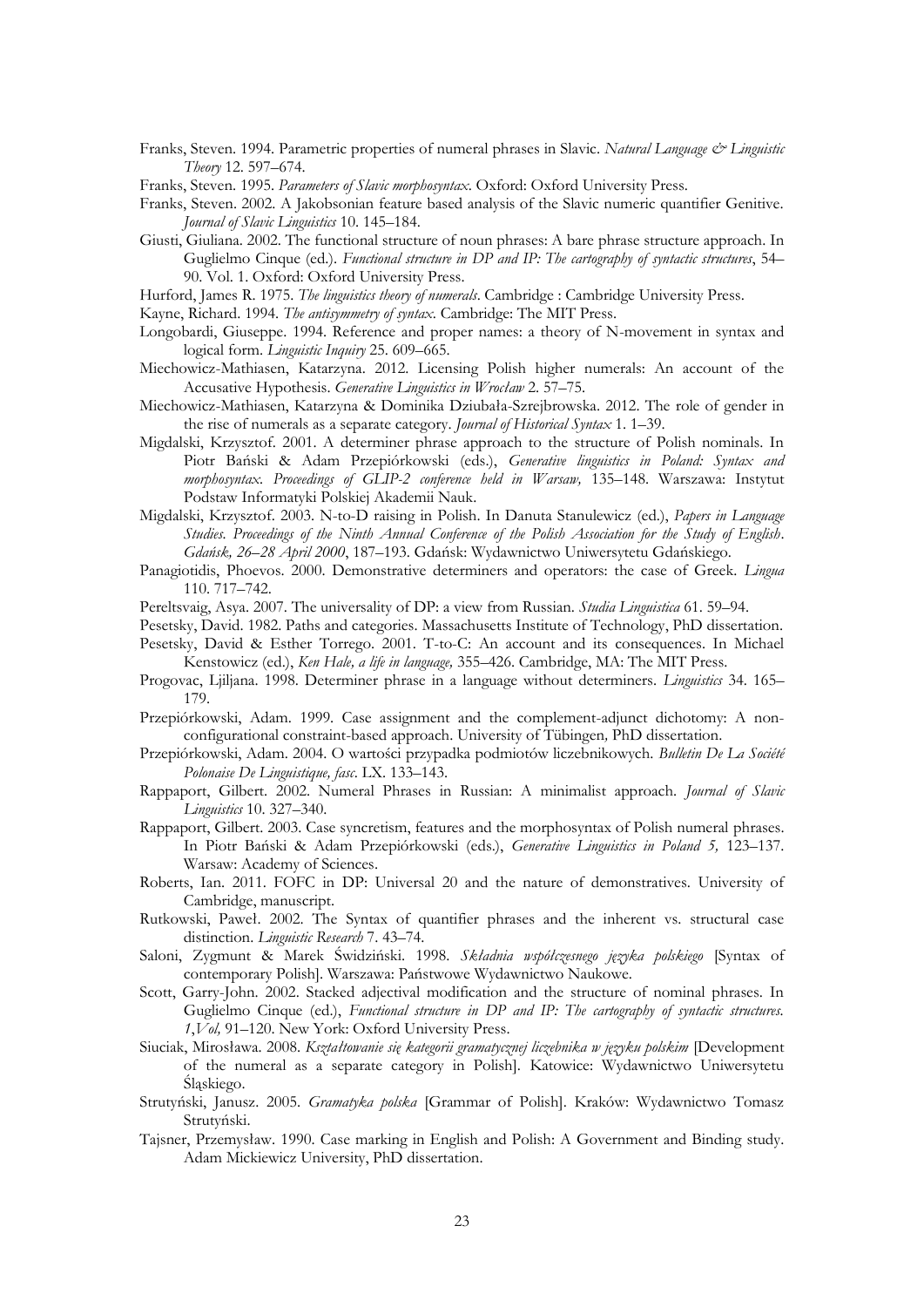- Franks, Steven. 1994. Parametric properties of numeral phrases in Slavic. *Natural Language & Linguistic Theory* 12. 597–674.
- Franks, Steven. 1995. *Parameters of Slavic morphosyntax*. Oxford: Oxford University Press.
- Franks, Steven. 2002. A Jakobsonian feature based analysis of the Slavic numeric quantifier Genitive. *Journal of Slavic Linguistics* 10. 145–184.
- Giusti, Giuliana. 2002. The functional structure of noun phrases: A bare phrase structure approach. In Guglielmo Cinque (ed.). *Functional structure in DP and IP: The cartography of syntactic structures*, 54– 90. Vol. 1. Oxford: Oxford University Press.
- Hurford, James R. 1975. *The linguistics theory of numerals*. Cambridge : Cambridge University Press.

Kayne, Richard. 1994. *The antisymmetry of syntax*. Cambridge: The MIT Press.

- Longobardi, Giuseppe. 1994. Reference and proper names: a theory of N-movement in syntax and logical form. *Linguistic Inquiry* 25. 609–665.
- Miechowicz-Mathiasen, Katarzyna. 2012. Licensing Polish higher numerals: An account of the Accusative Hypothesis. *Generative Linguistics in Wrocław* 2. 57–75.
- Miechowicz-Mathiasen, Katarzyna & Dominika Dziubała-Szrejbrowska. 2012. The role of gender in the rise of numerals as a separate category. *Journal of Historical Syntax* 1. 1–39.
- Migdalski, Krzysztof. 2001. A determiner phrase approach to the structure of Polish nominals. In Piotr Bański & Adam Przepiórkowski (eds.), *Generative linguistics in Poland: Syntax and morphosyntax. Proceedings of GLIP-2 conference held in Warsaw,* 135–148. Warszawa: Instytut Podstaw Informatyki Polskiej Akademii Nauk.
- Migdalski, Krzysztof. 2003. N-to-D raising in Polish. In Danuta Stanulewicz (ed.), *Papers in Language Studies. Proceedings of the Ninth Annual Conference of the Polish Association for the Study of English*. *Gdańsk, 26*–*28 April 2000*, 187–193. Gdańsk: Wydawnictwo Uniwersytetu Gdańskiego.
- Panagiotidis, Phoevos. 2000. Demonstrative determiners and operators: the case of Greek. *Lingua*  110. 717–742.
- Pereltsvaig, Asya. 2007. The universality of DP: a view from Russian. *Studia Linguistica* 61. 59–94.
- Pesetsky, David. 1982. Paths and categories. Massachusetts Institute of Technology, PhD dissertation.
- Pesetsky, David & Esther Torrego. 2001. T-to-C: An account and its consequences. In Michael Kenstowicz (ed.), *Ken Hale, a life in language,* 355–426. Cambridge, MA: The MIT Press.
- Progovac, Ljiljana. 1998. Determiner phrase in a language without determiners. *Linguistics* 34. 165– 179.
- Przepiórkowski, Adam. 1999. Case assignment and the complement-adjunct dichotomy: A nonconfigurational constraint-based approach. University of Tübingen*,* PhD dissertation.
- Przepiórkowski, Adam. 2004. O wartości przypadka podmiotów liczebnikowych. *Bulletin De La Société Polonaise De Linguistique, fasc*. LX. 133–143.
- Rappaport, Gilbert. 2002. Numeral Phrases in Russian: A minimalist approach. *Journal of Slavic Linguistics* 10. 327–340.
- Rappaport, Gilbert. 2003. Case syncretism, features and the morphosyntax of Polish numeral phrases. In Piotr Bański & Adam Przepiórkowski (eds.), *Generative Linguistics in Poland 5,* 123–137. Warsaw: Academy of Sciences.
- Roberts, Ian. 2011. FOFC in DP: Universal 20 and the nature of demonstratives. University of Cambridge, manuscript.
- Rutkowski, Paweł. 2002. The Syntax of quantifier phrases and the inherent vs. structural case distinction. *Linguistic Research* 7. 43–74.
- Saloni, Zygmunt & Marek Świdziński. 1998. *Składnia współczesnego języka polskiego* [Syntax of contemporary Polish]. Warszawa: Państwowe Wydawnictwo Naukowe.
- Scott, Garry-John. 2002. Stacked adjectival modification and the structure of nominal phrases. In Guglielmo Cinque (ed.), *Functional structure in DP and IP: The cartography of syntactic structures. 1*,*Vol,* 91–120. New York: Oxford University Press.
- Siuciak, Mirosława. 2008. *Kształtowanie się kategorii gramatycznej liczebnika w języku polskim* [Development of the numeral as a separate category in Polish]. Katowice: Wydawnictwo Uniwersytetu Śląskiego.
- Strutyński, Janusz. 2005. *Gramatyka polska* [Grammar of Polish]. Kraków: Wydawnictwo Tomasz Strutyński.
- Tajsner, Przemysław. 1990. Case marking in English and Polish: A Government and Binding study. Adam Mickiewicz University, PhD dissertation.